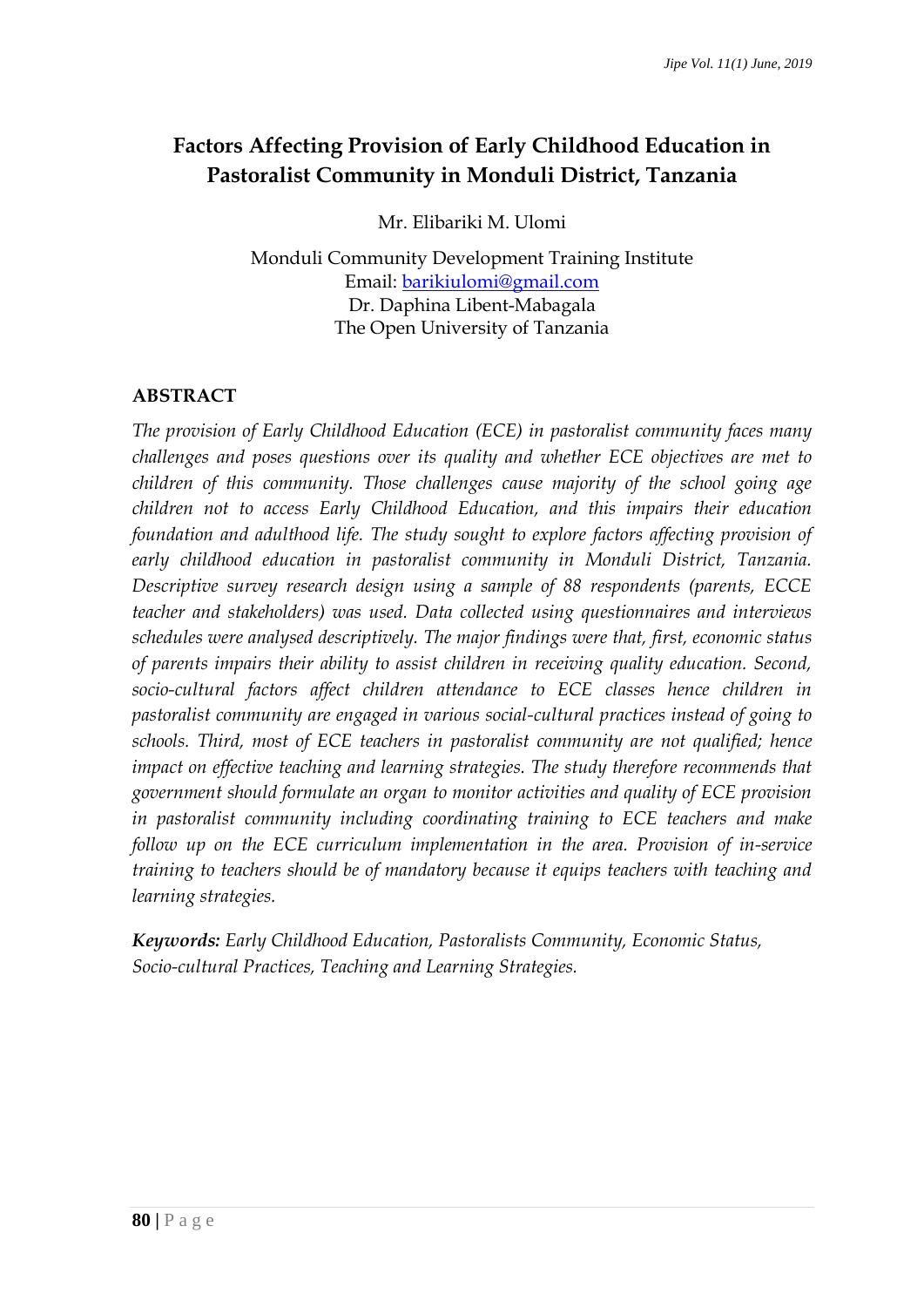# **Factors Affecting Provision of Early Childhood Education in Pastoralist Community in Monduli District, Tanzania**

Mr. Elibariki M. Ulomi

Monduli Community Development Training Institute Email: [barikiulomi@gmail.com](mailto:barikiulomi@gmail.com) Dr. Daphina Libent-Mabagala The Open University of Tanzania

## **ABSTRACT**

*The provision of Early Childhood Education (ECE) in pastoralist community faces many challenges and poses questions over its quality and whether ECE objectives are met to children of this community. Those challenges cause majority of the school going age children not to access Early Childhood Education, and this impairs their education foundation and adulthood life. The study sought to explore factors affecting provision of early childhood education in pastoralist community in Monduli District, Tanzania. Descriptive survey research design using a sample of 88 respondents (parents, ECCE teacher and stakeholders) was used. Data collected using questionnaires and interviews schedules were analysed descriptively. The major findings were that, first, economic status of parents impairs their ability to assist children in receiving quality education. Second, socio-cultural factors affect children attendance to ECE classes hence children in pastoralist community are engaged in various social-cultural practices instead of going to schools. Third, most of ECE teachers in pastoralist community are not qualified; hence impact on effective teaching and learning strategies. The study therefore recommends that government should formulate an organ to monitor activities and quality of ECE provision in pastoralist community including coordinating training to ECE teachers and make follow up on the ECE curriculum implementation in the area. Provision of in-service training to teachers should be of mandatory because it equips teachers with teaching and learning strategies.*

*Keywords: Early Childhood Education, Pastoralists Community, Economic Status, Socio-cultural Practices, Teaching and Learning Strategies.*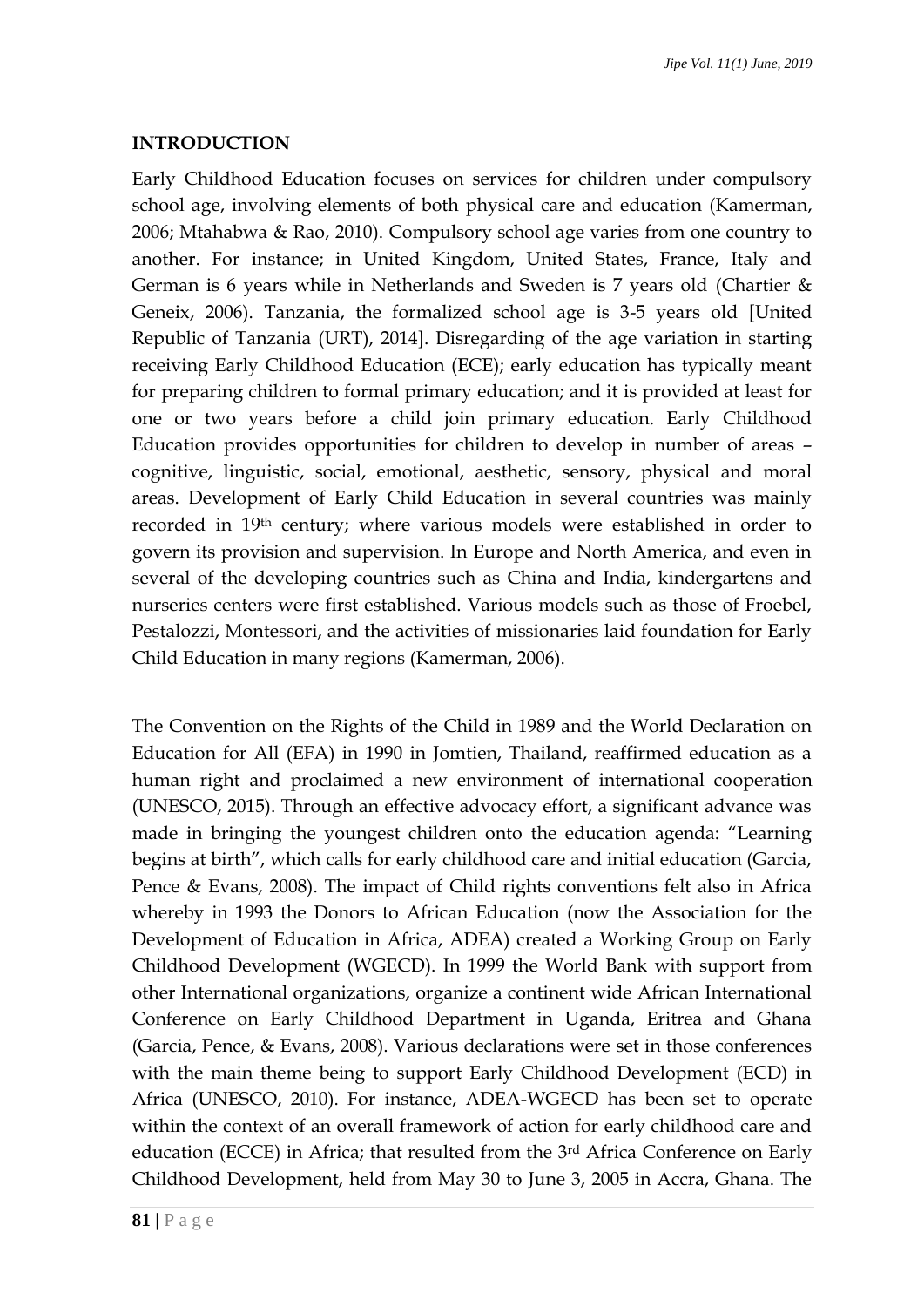#### **INTRODUCTION**

Early Childhood Education focuses on services for children under compulsory school age, involving elements of both physical care and education (Kamerman, 2006; Mtahabwa & Rao, 2010). Compulsory school age varies from one country to another. For instance; in United Kingdom, United States, France, Italy and German is 6 years while in Netherlands and Sweden is 7 years old (Chartier & Geneix, 2006). Tanzania, the formalized school age is 3-5 years old [United Republic of Tanzania (URT), 2014]. Disregarding of the age variation in starting receiving Early Childhood Education (ECE); early education has typically meant for preparing children to formal primary education; and it is provided at least for one or two years before a child join primary education. Early Childhood Education provides opportunities for children to develop in number of areas – cognitive, linguistic, social, emotional, aesthetic, sensory, physical and moral areas. Development of Early Child Education in several countries was mainly recorded in 19th century; where various models were established in order to govern its provision and supervision. In Europe and North America, and even in several of the developing countries such as China and India, kindergartens and nurseries centers were first established. Various models such as those of Froebel, Pestalozzi, Montessori, and the activities of missionaries laid foundation for Early Child Education in many regions (Kamerman, 2006).

The Convention on the Rights of the Child in 1989 and the World Declaration on Education for All (EFA) in 1990 in Jomtien, Thailand, reaffirmed education as a human right and proclaimed a new environment of international cooperation (UNESCO, 2015). Through an effective advocacy effort, a significant advance was made in bringing the youngest children onto the education agenda: "Learning begins at birth", which calls for early childhood care and initial education (Garcia, Pence & Evans, 2008). The impact of Child rights conventions felt also in Africa whereby in 1993 the Donors to African Education (now the Association for the Development of Education in Africa, ADEA) created a Working Group on Early Childhood Development (WGECD). In 1999 the World Bank with support from other International organizations, organize a continent wide African International Conference on Early Childhood Department in Uganda, Eritrea and Ghana (Garcia, Pence, & Evans, 2008). Various declarations were set in those conferences with the main theme being to support Early Childhood Development (ECD) in Africa (UNESCO, 2010). For instance, ADEA-WGECD has been set to operate within the context of an overall framework of action for early childhood care and education (ECCE) in Africa; that resulted from the 3<sup>rd</sup> Africa Conference on Early Childhood Development, held from May 30 to June 3, 2005 in Accra, Ghana. The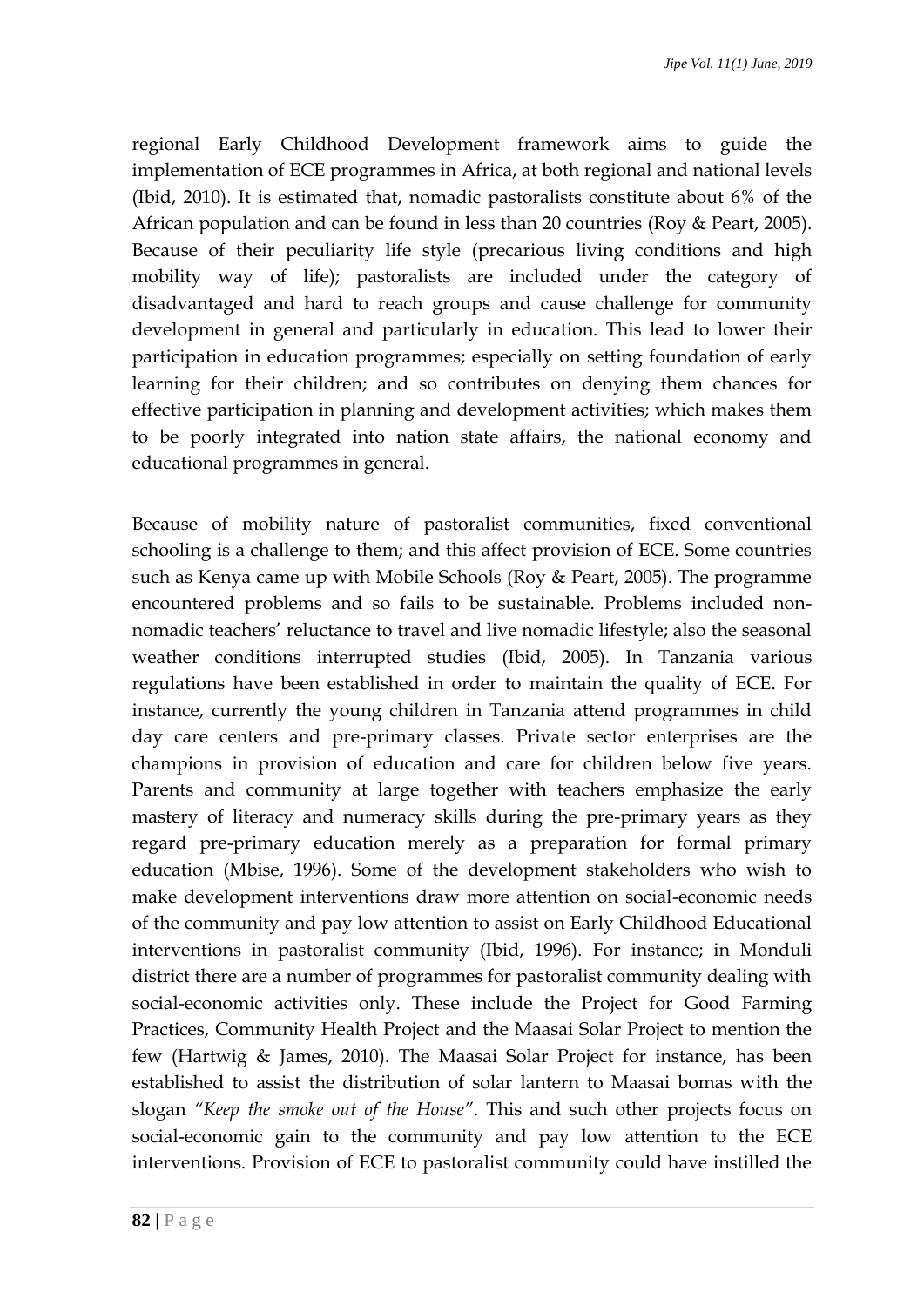regional Early Childhood Development framework aims to guide the implementation of ECE programmes in Africa, at both regional and national levels (Ibid, 2010). It is estimated that, nomadic pastoralists constitute about 6% of the African population and can be found in less than 20 countries (Roy & Peart, 2005). Because of their peculiarity life style (precarious living conditions and high mobility way of life); pastoralists are included under the category of disadvantaged and hard to reach groups and cause challenge for community development in general and particularly in education. This lead to lower their participation in education programmes; especially on setting foundation of early learning for their children; and so contributes on denying them chances for effective participation in planning and development activities; which makes them to be poorly integrated into nation state affairs, the national economy and educational programmes in general.

Because of mobility nature of pastoralist communities, fixed conventional schooling is a challenge to them; and this affect provision of ECE. Some countries such as Kenya came up with Mobile Schools (Roy & Peart, 2005). The programme encountered problems and so fails to be sustainable. Problems included nonnomadic teachers' reluctance to travel and live nomadic lifestyle; also the seasonal weather conditions interrupted studies (Ibid, 2005). In Tanzania various regulations have been established in order to maintain the quality of ECE. For instance, currently the young children in Tanzania attend programmes in child day care centers and pre-primary classes. Private sector enterprises are the champions in provision of education and care for children below five years. Parents and community at large together with teachers emphasize the early mastery of literacy and numeracy skills during the pre-primary years as they regard pre-primary education merely as a preparation for formal primary education (Mbise, 1996). Some of the development stakeholders who wish to make development interventions draw more attention on social-economic needs of the community and pay low attention to assist on Early Childhood Educational interventions in pastoralist community (Ibid, 1996). For instance; in Monduli district there are a number of programmes for pastoralist community dealing with social-economic activities only. These include the Project for Good Farming Practices, Community Health Project and the Maasai Solar Project to mention the few (Hartwig & James, 2010). The Maasai Solar Project for instance, has been established to assist the distribution of solar lantern to Maasai bomas with the slogan *"Keep the smoke out of the House"*. This and such other projects focus on social-economic gain to the community and pay low attention to the ECE interventions. Provision of ECE to pastoralist community could have instilled the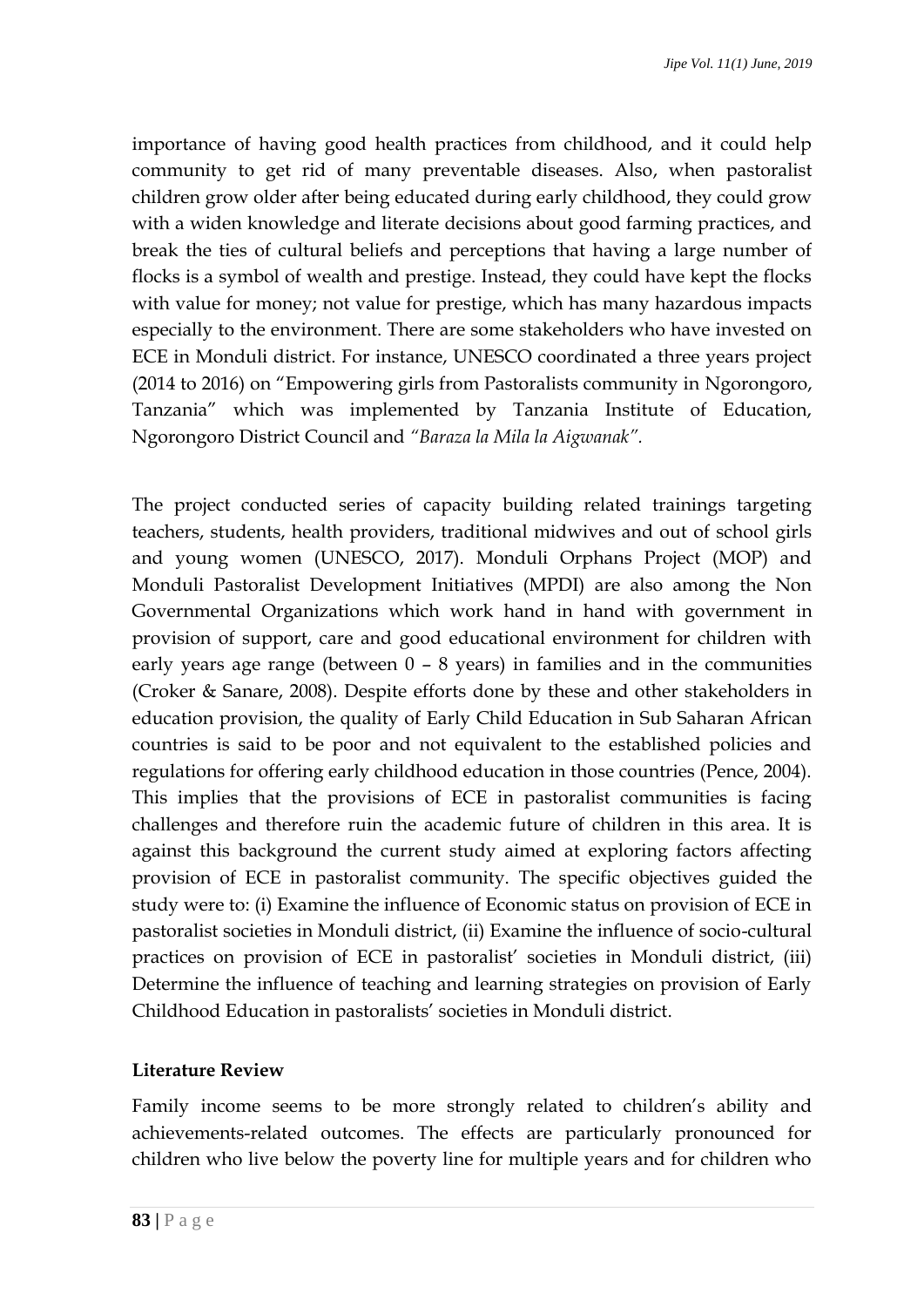importance of having good health practices from childhood, and it could help community to get rid of many preventable diseases. Also, when pastoralist children grow older after being educated during early childhood, they could grow with a widen knowledge and literate decisions about good farming practices, and break the ties of cultural beliefs and perceptions that having a large number of flocks is a symbol of wealth and prestige. Instead, they could have kept the flocks with value for money; not value for prestige, which has many hazardous impacts especially to the environment. There are some stakeholders who have invested on ECE in Monduli district. For instance, UNESCO coordinated a three years project (2014 to 2016) on "Empowering girls from Pastoralists community in Ngorongoro, Tanzania" which was implemented by Tanzania Institute of Education, Ngorongoro District Council and *"Baraza la Mila la Aigwanak".*

The project conducted series of capacity building related trainings targeting teachers, students, health providers, traditional midwives and out of school girls and young women (UNESCO, 2017). Monduli Orphans Project (MOP) and Monduli Pastoralist Development Initiatives (MPDI) are also among the Non Governmental Organizations which work hand in hand with government in provision of support, care and good educational environment for children with early years age range (between  $0 - 8$  years) in families and in the communities (Croker & Sanare, 2008). Despite efforts done by these and other stakeholders in education provision, the quality of Early Child Education in Sub Saharan African countries is said to be poor and not equivalent to the established policies and regulations for offering early childhood education in those countries (Pence, 2004). This implies that the provisions of ECE in pastoralist communities is facing challenges and therefore ruin the academic future of children in this area. It is against this background the current study aimed at exploring factors affecting provision of ECE in pastoralist community. The specific objectives guided the study were to: (i) Examine the influence of Economic status on provision of ECE in pastoralist societies in Monduli district, (ii) Examine the influence of socio-cultural practices on provision of ECE in pastoralist' societies in Monduli district, (iii) Determine the influence of teaching and learning strategies on provision of Early Childhood Education in pastoralists' societies in Monduli district.

## **Literature Review**

Family income seems to be more strongly related to children's ability and achievements-related outcomes. The effects are particularly pronounced for children who live below the poverty line for multiple years and for children who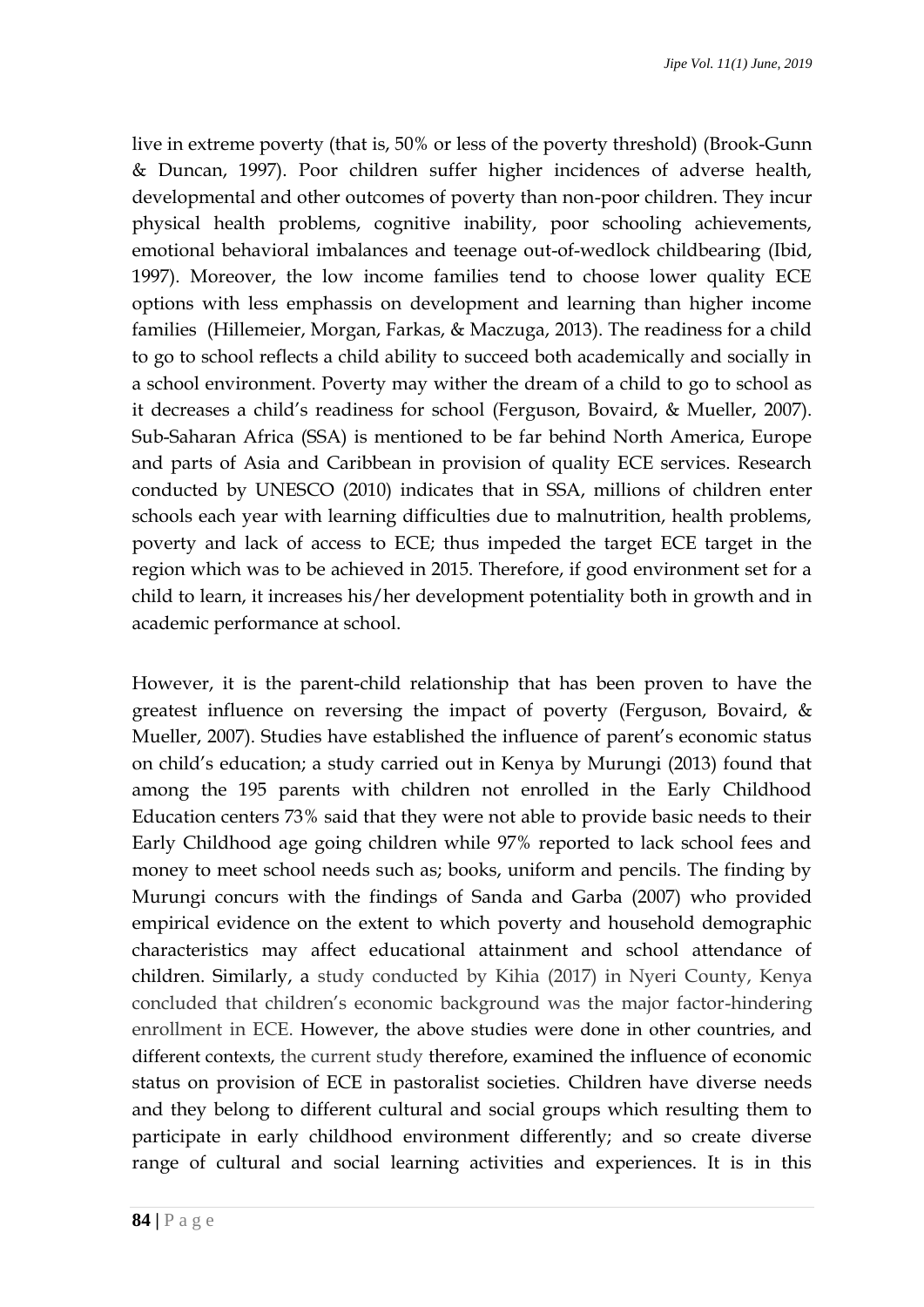live in extreme poverty (that is, 50% or less of the poverty threshold) (Brook-Gunn & Duncan, 1997). Poor children suffer higher incidences of adverse health, developmental and other outcomes of poverty than non-poor children. They incur physical health problems, cognitive inability, poor schooling achievements, emotional behavioral imbalances and teenage out-of-wedlock childbearing (Ibid, 1997). Moreover, the low income families tend to choose lower quality ECE options with less emphassis on development and learning than higher income families (Hillemeier, Morgan, Farkas, & Maczuga, 2013). The readiness for a child to go to school reflects a child ability to succeed both academically and socially in a school environment. Poverty may wither the dream of a child to go to school as it decreases a child's readiness for school (Ferguson, Bovaird, & Mueller, 2007). Sub-Saharan Africa (SSA) is mentioned to be far behind North America, Europe and parts of Asia and Caribbean in provision of quality ECE services. Research conducted by UNESCO (2010) indicates that in SSA, millions of children enter schools each year with learning difficulties due to malnutrition, health problems, poverty and lack of access to ECE; thus impeded the target ECE target in the region which was to be achieved in 2015. Therefore, if good environment set for a child to learn, it increases his/her development potentiality both in growth and in academic performance at school.

However, it is the parent-child relationship that has been proven to have the greatest influence on reversing the impact of poverty (Ferguson, Bovaird, & Mueller, 2007). Studies have established the influence of parent's economic status on child's education; a study carried out in Kenya by Murungi (2013) found that among the 195 parents with children not enrolled in the Early Childhood Education centers 73% said that they were not able to provide basic needs to their Early Childhood age going children while 97% reported to lack school fees and money to meet school needs such as; books, uniform and pencils. The finding by Murungi concurs with the findings of Sanda and Garba (2007) who provided empirical evidence on the extent to which poverty and household demographic characteristics may affect educational attainment and school attendance of children. Similarly, a study conducted by Kihia (2017) in Nyeri County, Kenya concluded that children's economic background was the major factor-hindering enrollment in ECE. However, the above studies were done in other countries, and different contexts, the current study therefore, examined the influence of economic status on provision of ECE in pastoralist societies. Children have diverse needs and they belong to different cultural and social groups which resulting them to participate in early childhood environment differently; and so create diverse range of cultural and social learning activities and experiences. It is in this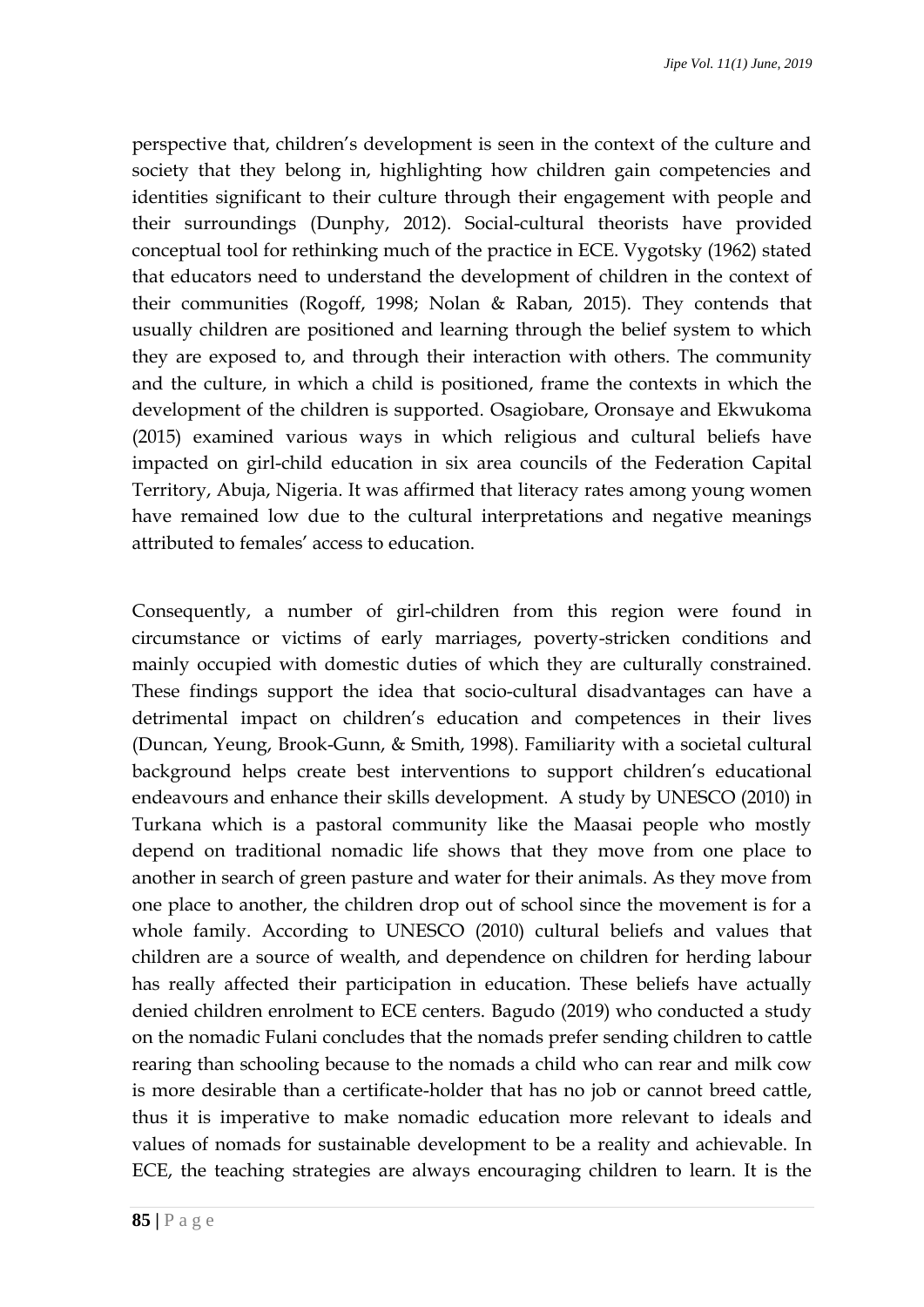perspective that, children's development is seen in the context of the culture and society that they belong in, highlighting how children gain competencies and identities significant to their culture through their engagement with people and their surroundings (Dunphy, 2012). Social-cultural theorists have provided conceptual tool for rethinking much of the practice in ECE. Vygotsky (1962) stated that educators need to understand the development of children in the context of their communities (Rogoff, 1998; Nolan & Raban, 2015). They contends that usually children are positioned and learning through the belief system to which they are exposed to, and through their interaction with others. The community and the culture, in which a child is positioned, frame the contexts in which the development of the children is supported. Osagiobare, Oronsaye and Ekwukoma (2015) examined various ways in which religious and cultural beliefs have impacted on girl-child education in six area councils of the Federation Capital Territory, Abuja, Nigeria. It was affirmed that literacy rates among young women have remained low due to the cultural interpretations and negative meanings attributed to females' access to education.

Consequently, a number of girl-children from this region were found in circumstance or victims of early marriages, poverty-stricken conditions and mainly occupied with domestic duties of which they are culturally constrained. These findings support the idea that socio-cultural disadvantages can have a detrimental impact on children's education and competences in their lives (Duncan, Yeung, Brook-Gunn, & Smith, 1998). Familiarity with a societal cultural background helps create best interventions to support children's educational endeavours and enhance their skills development. A study by UNESCO (2010) in Turkana which is a pastoral community like the Maasai people who mostly depend on traditional nomadic life shows that they move from one place to another in search of green pasture and water for their animals. As they move from one place to another, the children drop out of school since the movement is for a whole family. According to UNESCO (2010) cultural beliefs and values that children are a source of wealth, and dependence on children for herding labour has really affected their participation in education. These beliefs have actually denied children enrolment to ECE centers. Bagudo (2019) who conducted a study on the nomadic Fulani concludes that the nomads prefer sending children to cattle rearing than schooling because to the nomads a child who can rear and milk cow is more desirable than a certificate-holder that has no job or cannot breed cattle, thus it is imperative to make nomadic education more relevant to ideals and values of nomads for sustainable development to be a reality and achievable. In ECE, the teaching strategies are always encouraging children to learn. It is the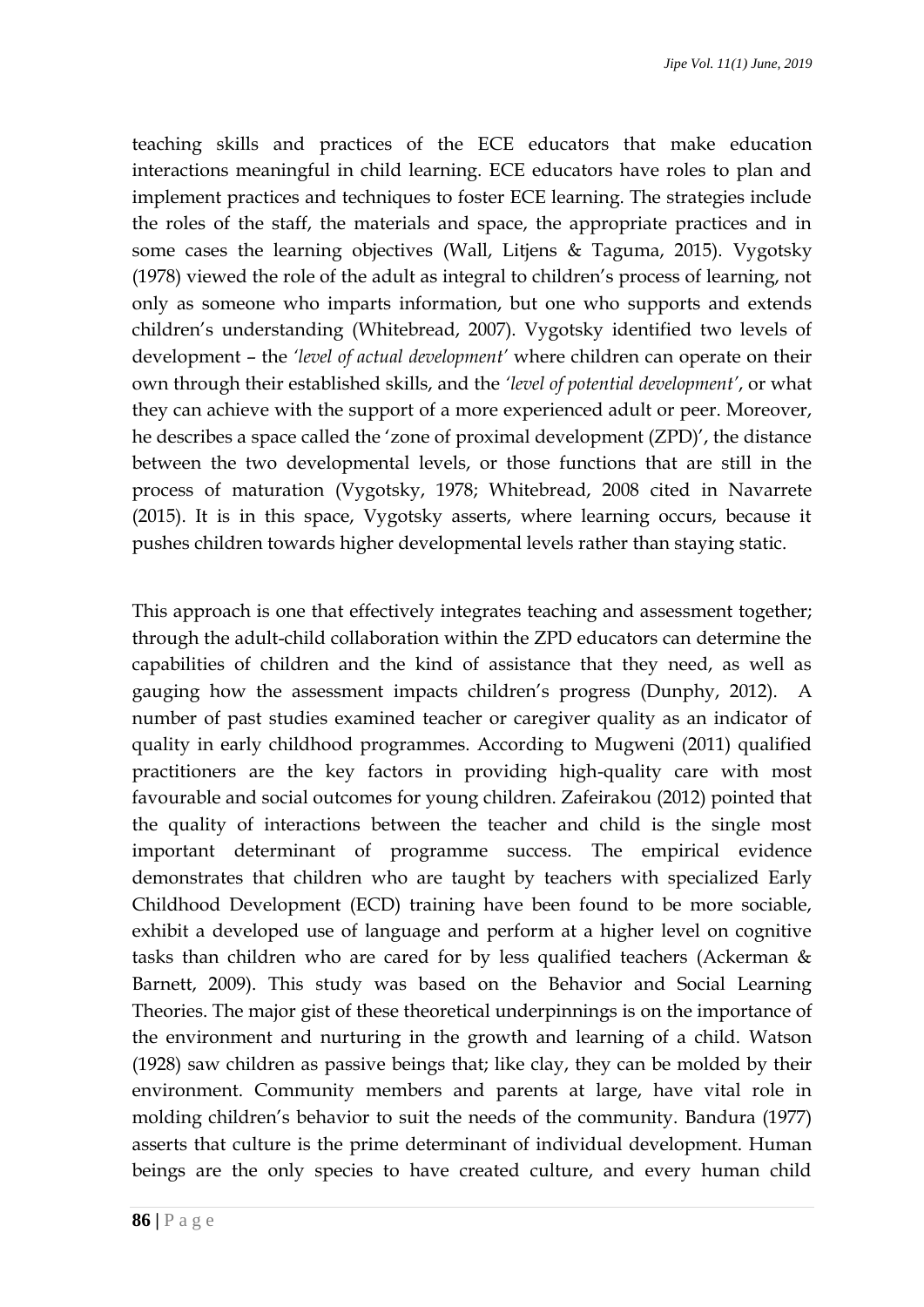teaching skills and practices of the ECE educators that make education interactions meaningful in child learning. ECE educators have roles to plan and implement practices and techniques to foster ECE learning. The strategies include the roles of the staff, the materials and space, the appropriate practices and in some cases the learning objectives (Wall, Litjens & Taguma, 2015). Vygotsky (1978) viewed the role of the adult as integral to children's process of learning, not only as someone who imparts information, but one who supports and extends children's understanding (Whitebread, 2007). Vygotsky identified two levels of development – the *'level of actual development'* where children can operate on their own through their established skills, and the *'level of potential development'*, or what they can achieve with the support of a more experienced adult or peer. Moreover, he describes a space called the 'zone of proximal development (ZPD)', the distance between the two developmental levels, or those functions that are still in the process of maturation (Vygotsky, 1978; Whitebread, 2008 cited in Navarrete (2015). It is in this space, Vygotsky asserts, where learning occurs, because it pushes children towards higher developmental levels rather than staying static.

This approach is one that effectively integrates teaching and assessment together; through the adult-child collaboration within the ZPD educators can determine the capabilities of children and the kind of assistance that they need, as well as gauging how the assessment impacts children's progress (Dunphy, 2012). A number of past studies examined teacher or caregiver quality as an indicator of quality in early childhood programmes. According to Mugweni (2011) qualified practitioners are the key factors in providing high-quality care with most favourable and social outcomes for young children. Zafeirakou (2012) pointed that the quality of interactions between the teacher and child is the single most important determinant of programme success. The empirical evidence demonstrates that children who are taught by teachers with specialized Early Childhood Development (ECD) training have been found to be more sociable, exhibit a developed use of language and perform at a higher level on cognitive tasks than children who are cared for by less qualified teachers (Ackerman & Barnett, 2009). This study was based on the Behavior and Social Learning Theories. The major gist of these theoretical underpinnings is on the importance of the environment and nurturing in the growth and learning of a child. Watson (1928) saw children as passive beings that; like clay, they can be molded by their environment. Community members and parents at large, have vital role in molding children's behavior to suit the needs of the community. Bandura (1977) asserts that culture is the prime determinant of individual development. Human beings are the only species to have created culture, and every human child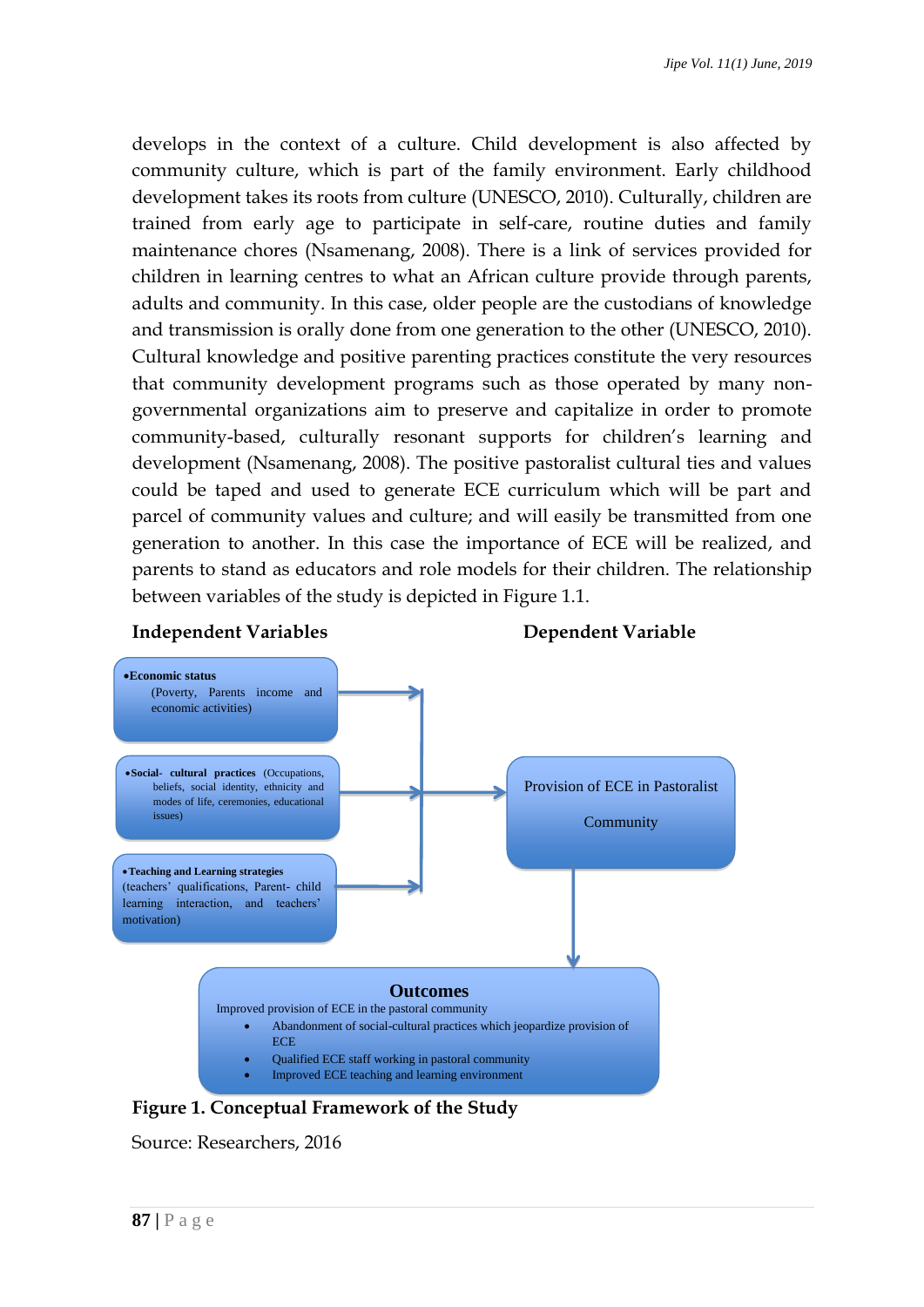develops in the context of a culture. Child development is also affected by community culture, which is part of the family environment. Early childhood development takes its roots from culture (UNESCO, 2010). Culturally, children are trained from early age to participate in self-care, routine duties and family maintenance chores (Nsamenang, 2008). There is a link of services provided for children in learning centres to what an African culture provide through parents, adults and community. In this case, older people are the custodians of knowledge and transmission is orally done from one generation to the other (UNESCO, 2010). Cultural knowledge and positive parenting practices constitute the very resources that community development programs such as those operated by many nongovernmental organizations aim to preserve and capitalize in order to promote community-based, culturally resonant supports for children's learning and development (Nsamenang, 2008). The positive pastoralist cultural ties and values could be taped and used to generate ECE curriculum which will be part and parcel of community values and culture; and will easily be transmitted from one generation to another. In this case the importance of ECE will be realized, and parents to stand as educators and role models for their children. The relationship between variables of the study is depicted in Figure 1.1.

#### **Independent Variables Dependent Variable**



**Figure 1. Conceptual Framework of the Study**

Source: Researchers, 2016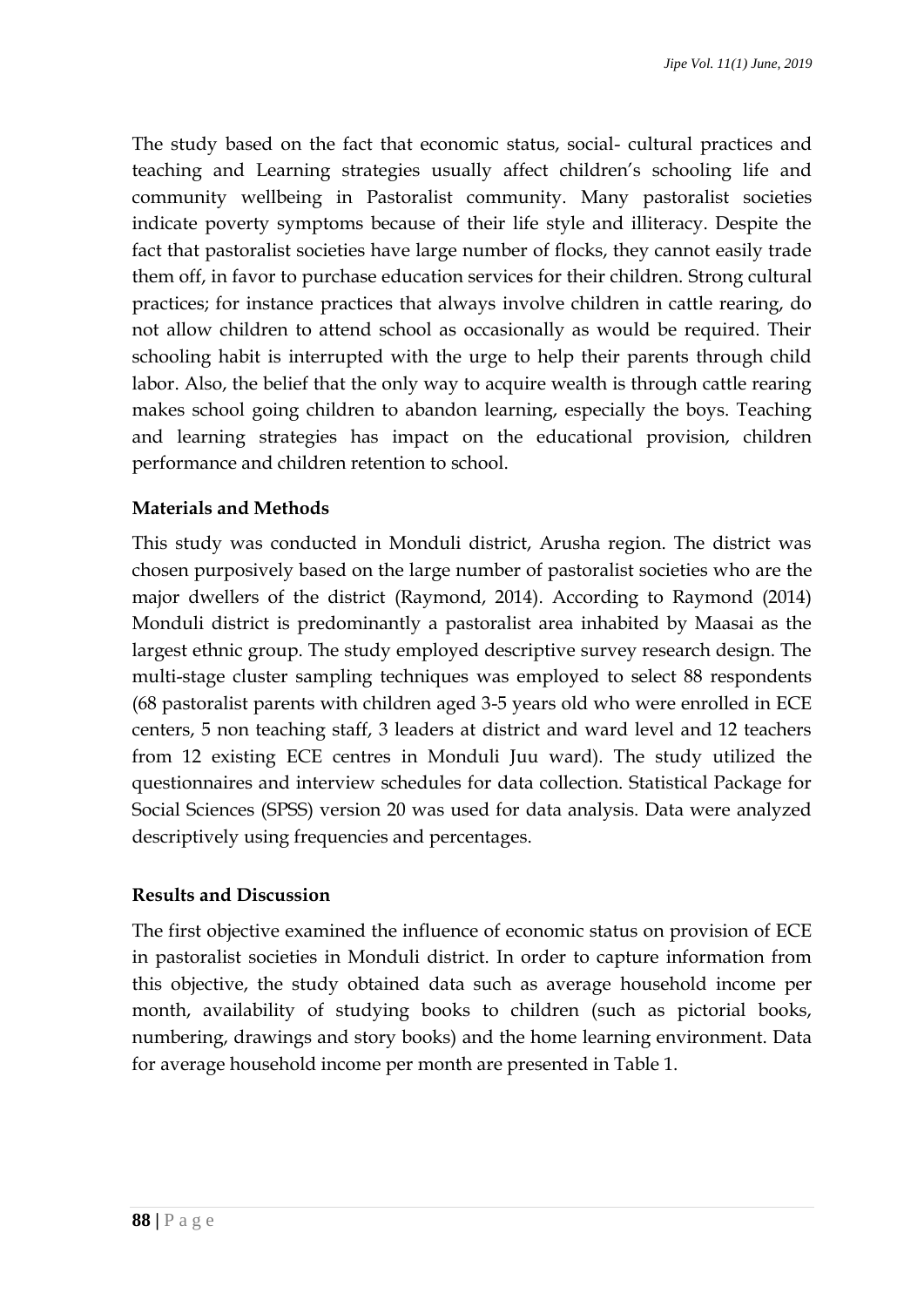The study based on the fact that economic status, social- cultural practices and teaching and Learning strategies usually affect children's schooling life and community wellbeing in Pastoralist community. Many pastoralist societies indicate poverty symptoms because of their life style and illiteracy. Despite the fact that pastoralist societies have large number of flocks, they cannot easily trade them off, in favor to purchase education services for their children. Strong cultural practices; for instance practices that always involve children in cattle rearing, do not allow children to attend school as occasionally as would be required. Their schooling habit is interrupted with the urge to help their parents through child labor. Also, the belief that the only way to acquire wealth is through cattle rearing makes school going children to abandon learning, especially the boys. Teaching and learning strategies has impact on the educational provision, children performance and children retention to school.

## **Materials and Methods**

This study was conducted in Monduli district, Arusha region. The district was chosen purposively based on the large number of pastoralist societies who are the major dwellers of the district (Raymond, 2014). According to Raymond (2014) Monduli district is predominantly a pastoralist area inhabited by Maasai as the largest ethnic group. The study employed descriptive survey research design. The multi-stage cluster sampling techniques was employed to select 88 respondents (68 pastoralist parents with children aged 3-5 years old who were enrolled in ECE centers, 5 non teaching staff, 3 leaders at district and ward level and 12 teachers from 12 existing ECE centres in Monduli Juu ward). The study utilized the questionnaires and interview schedules for data collection. Statistical Package for Social Sciences (SPSS) version 20 was used for data analysis. Data were analyzed descriptively using frequencies and percentages.

## **Results and Discussion**

The first objective examined the influence of economic status on provision of ECE in pastoralist societies in Monduli district. In order to capture information from this objective, the study obtained data such as average household income per month, availability of studying books to children (such as pictorial books, numbering, drawings and story books) and the home learning environment. Data for average household income per month are presented in Table 1.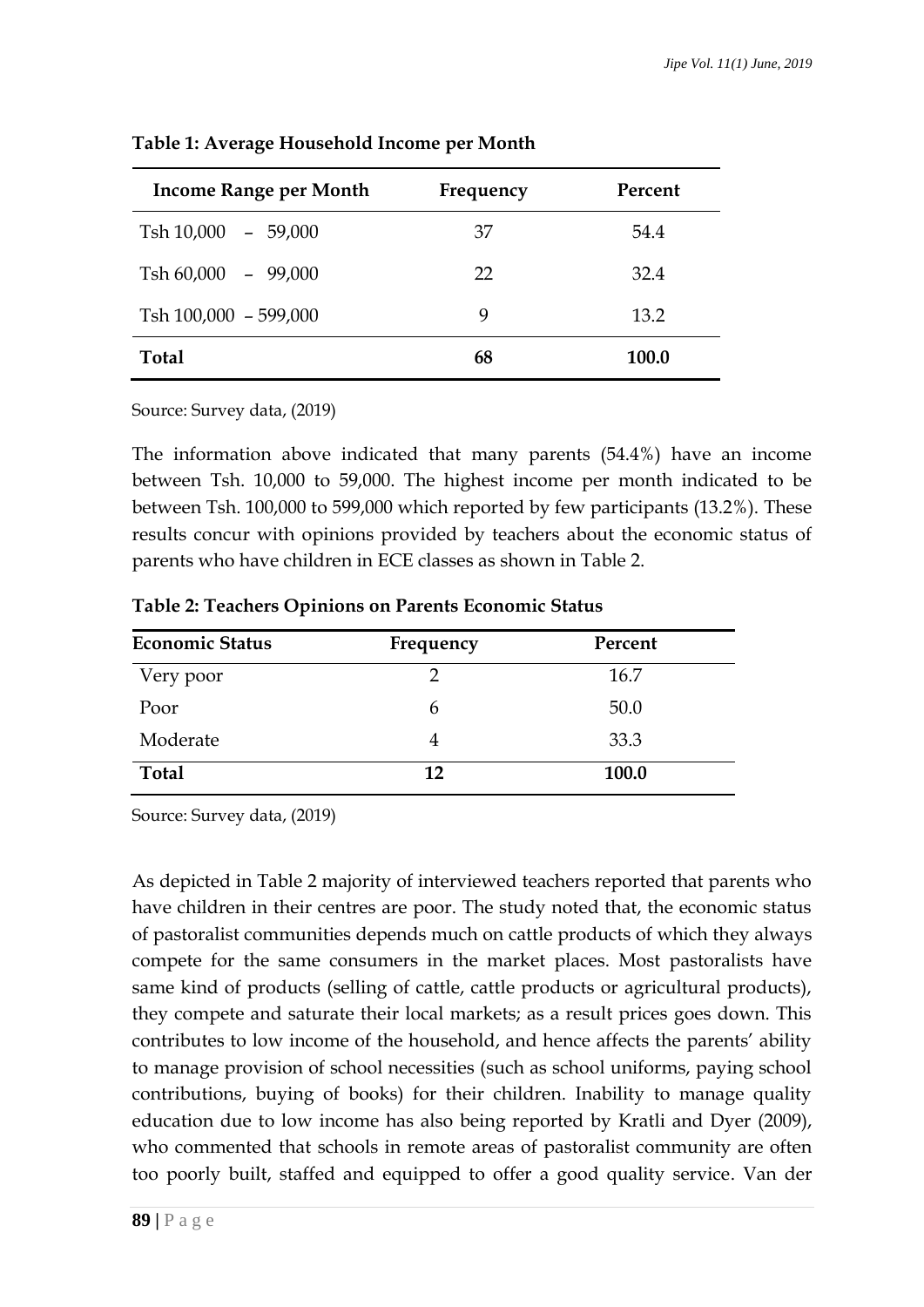| <b>Income Range per Month</b> | Frequency | Percent      |
|-------------------------------|-----------|--------------|
| Tsh $10,000 - 59,000$         | 37        | 54.4         |
| Tsh $60,000 - 99,000$         | 22        | 32.4         |
| Tsh $100,000 - 599,000$       | 9         | 13.2         |
| <b>Total</b>                  | 68        | <b>100.0</b> |

**Table 1: Average Household Income per Month**

Source: Survey data, (2019)

The information above indicated that many parents (54.4%) have an income between Tsh. 10,000 to 59,000. The highest income per month indicated to be between Tsh. 100,000 to 599,000 which reported by few participants (13.2%). These results concur with opinions provided by teachers about the economic status of parents who have children in ECE classes as shown in Table 2.

| <b>Economic Status</b> | Frequency | Percent |
|------------------------|-----------|---------|
| Very poor              |           | 16.7    |
| Poor                   | h         | 50.0    |
| Moderate               |           | 33.3    |
| <b>Total</b>           | 12        | 100.0   |

**Table 2: Teachers Opinions on Parents Economic Status**

Source: Survey data, (2019)

As depicted in Table 2 majority of interviewed teachers reported that parents who have children in their centres are poor. The study noted that, the economic status of pastoralist communities depends much on cattle products of which they always compete for the same consumers in the market places. Most pastoralists have same kind of products (selling of cattle, cattle products or agricultural products), they compete and saturate their local markets; as a result prices goes down. This contributes to low income of the household, and hence affects the parents' ability to manage provision of school necessities (such as school uniforms, paying school contributions, buying of books) for their children. Inability to manage quality education due to low income has also being reported by Kratli and Dyer (2009), who commented that schools in remote areas of pastoralist community are often too poorly built, staffed and equipped to offer a good quality service. Van der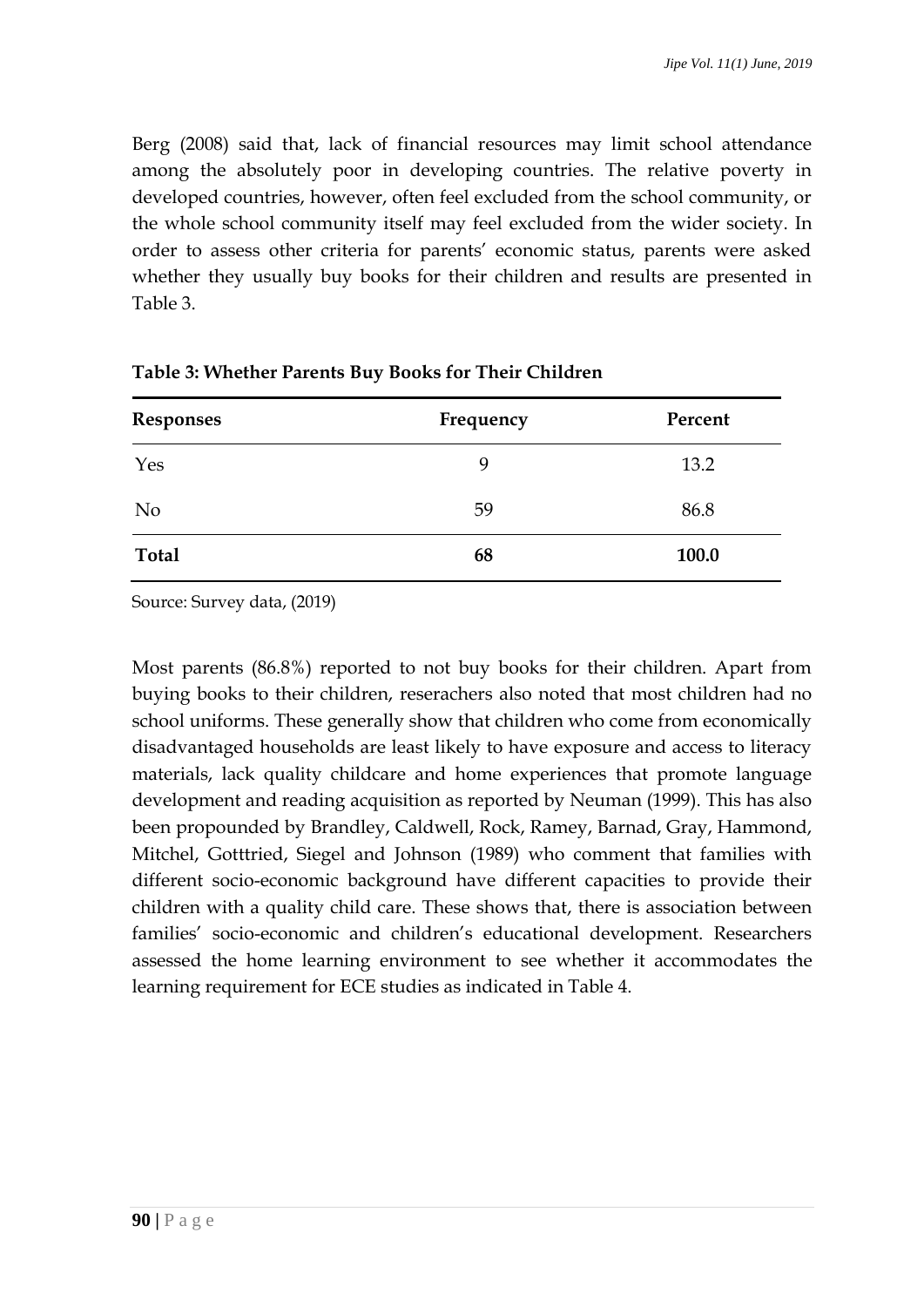Berg (2008) said that, lack of financial resources may limit school attendance among the absolutely poor in developing countries. The relative poverty in developed countries, however, often feel excluded from the school community, or the whole school community itself may feel excluded from the wider society. In order to assess other criteria for parents' economic status, parents were asked whether they usually buy books for their children and results are presented in Table 3.

| <b>Responses</b> | Frequency | Percent |  |
|------------------|-----------|---------|--|
| Yes              | 9         | 13.2    |  |
| N <sub>o</sub>   | 59        | 86.8    |  |
| <b>Total</b>     | 68        | 100.0   |  |

**Table 3: Whether Parents Buy Books for Their Children**

Source: Survey data, (2019)

Most parents (86.8%) reported to not buy books for their children. Apart from buying books to their children, reserachers also noted that most children had no school uniforms. These generally show that children who come from economically disadvantaged households are least likely to have exposure and access to literacy materials, lack quality childcare and home experiences that promote language development and reading acquisition as reported by Neuman (1999). This has also been propounded by Brandley, Caldwell, Rock, Ramey, Barnad, Gray, Hammond, Mitchel, Gotttried, Siegel and Johnson (1989) who comment that families with different socio-economic background have different capacities to provide their children with a quality child care. These shows that, there is association between families' socio-economic and children's educational development. Researchers assessed the home learning environment to see whether it accommodates the learning requirement for ECE studies as indicated in Table 4.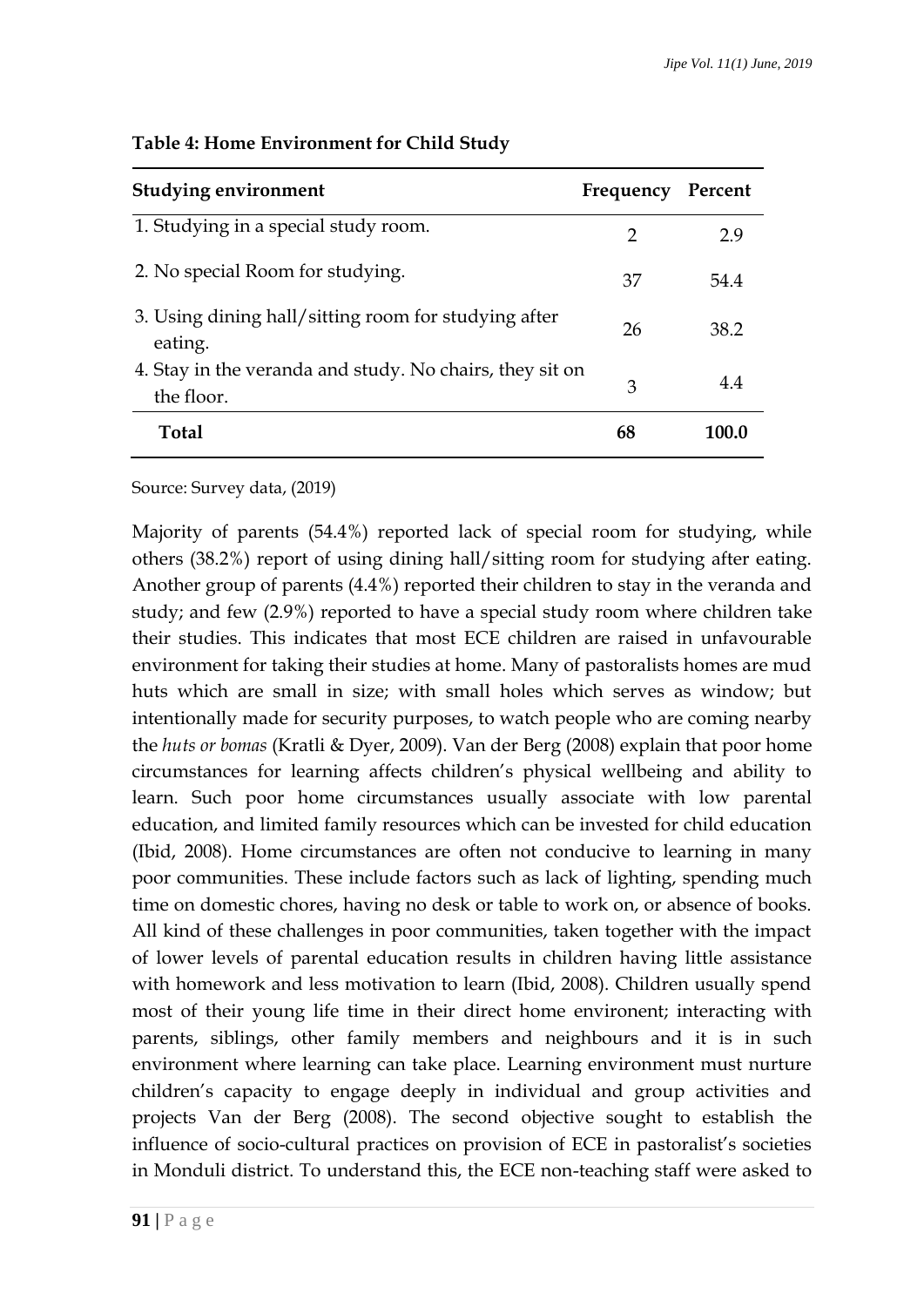| <b>Studying environment</b>                                            | Frequency     | Percent |
|------------------------------------------------------------------------|---------------|---------|
| 1. Studying in a special study room.                                   | $\mathcal{D}$ | 29      |
| 2. No special Room for studying.                                       | 37            | 54.4    |
| 3. Using dining hall/sitting room for studying after<br>eating.        | 26            | 38.2    |
| 4. Stay in the veranda and study. No chairs, they sit on<br>the floor. | 3             | 4.4     |
| Total                                                                  | 68            | 100.0   |

#### **Table 4: Home Environment for Child Study**

Source: Survey data, (2019)

Majority of parents (54.4%) reported lack of special room for studying, while others (38.2%) report of using dining hall/sitting room for studying after eating. Another group of parents (4.4%) reported their children to stay in the veranda and study; and few (2.9%) reported to have a special study room where children take their studies. This indicates that most ECE children are raised in unfavourable environment for taking their studies at home. Many of pastoralists homes are mud huts which are small in size; with small holes which serves as window; but intentionally made for security purposes, to watch people who are coming nearby the *huts or bomas* (Kratli & Dyer, 2009). Van der Berg (2008) explain that poor home circumstances for learning affects children's physical wellbeing and ability to learn. Such poor home circumstances usually associate with low parental education, and limited family resources which can be invested for child education (Ibid, 2008). Home circumstances are often not conducive to learning in many poor communities. These include factors such as lack of lighting, spending much time on domestic chores, having no desk or table to work on, or absence of books. All kind of these challenges in poor communities, taken together with the impact of lower levels of parental education results in children having little assistance with homework and less motivation to learn (Ibid, 2008). Children usually spend most of their young life time in their direct home environent; interacting with parents, siblings, other family members and neighbours and it is in such environment where learning can take place. Learning environment must nurture children's capacity to engage deeply in individual and group activities and projects Van der Berg (2008). The second objective sought to establish the influence of socio-cultural practices on provision of ECE in pastoralist's societies in Monduli district. To understand this, the ECE non-teaching staff were asked to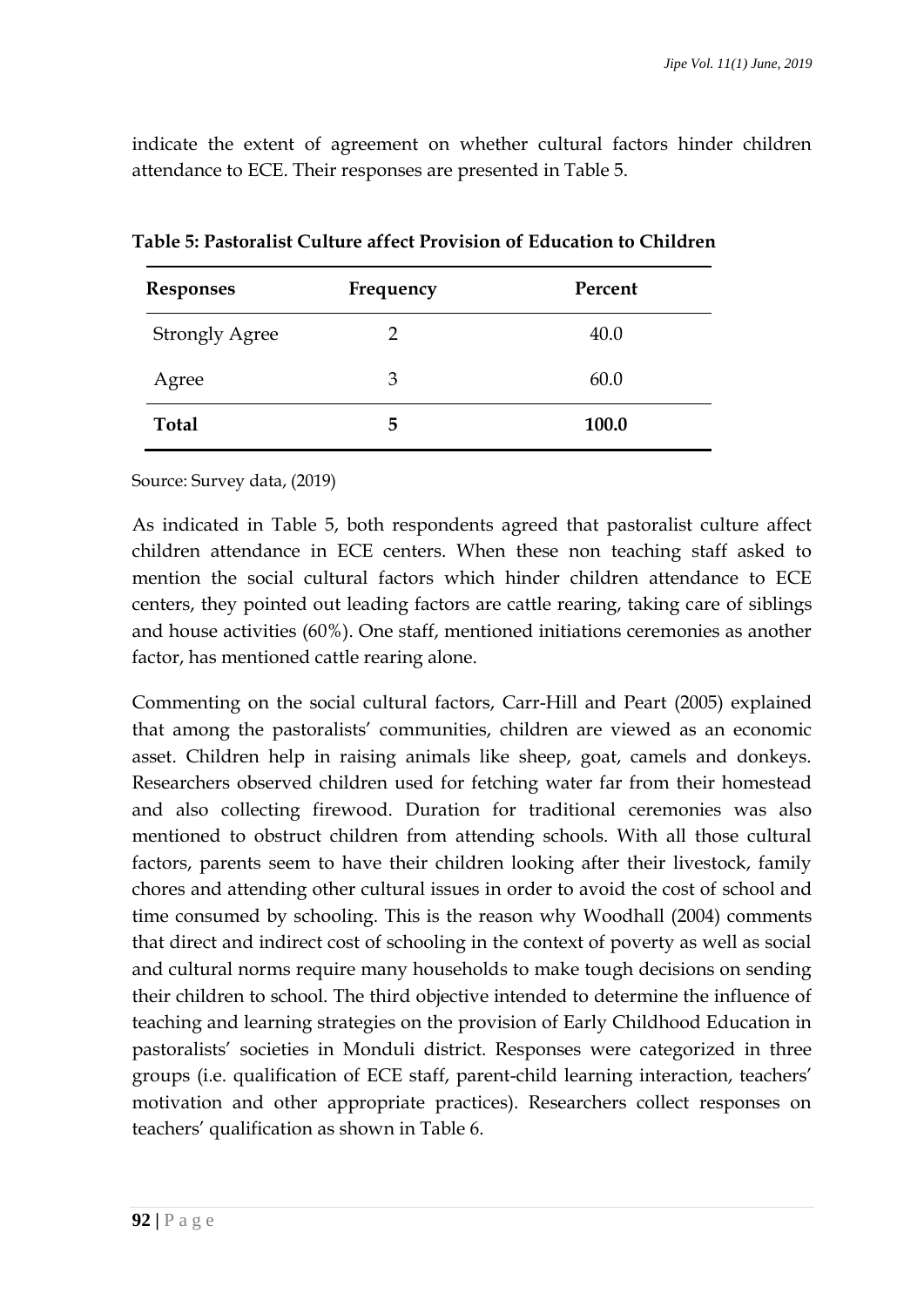indicate the extent of agreement on whether cultural factors hinder children attendance to ECE. Their responses are presented in Table 5.

| <b>Responses</b>      | Frequency | Percent |  |
|-----------------------|-----------|---------|--|
| <b>Strongly Agree</b> |           | 40.0    |  |
| Agree                 | 3         | 60.0    |  |
| <b>Total</b>          | 5         | 100.0   |  |

**Table 5: Pastoralist Culture affect Provision of Education to Children**

Source: Survey data, (2019)

As indicated in Table 5, both respondents agreed that pastoralist culture affect children attendance in ECE centers. When these non teaching staff asked to mention the social cultural factors which hinder children attendance to ECE centers, they pointed out leading factors are cattle rearing, taking care of siblings and house activities (60%). One staff, mentioned initiations ceremonies as another factor, has mentioned cattle rearing alone.

Commenting on the social cultural factors, Carr-Hill and Peart (2005) explained that among the pastoralists' communities, children are viewed as an economic asset. Children help in raising animals like sheep, goat, camels and donkeys. Researchers observed children used for fetching water far from their homestead and also collecting firewood. Duration for traditional ceremonies was also mentioned to obstruct children from attending schools. With all those cultural factors, parents seem to have their children looking after their livestock, family chores and attending other cultural issues in order to avoid the cost of school and time consumed by schooling. This is the reason why Woodhall (2004) comments that direct and indirect cost of schooling in the context of poverty as well as social and cultural norms require many households to make tough decisions on sending their children to school. The third objective intended to determine the influence of teaching and learning strategies on the provision of Early Childhood Education in pastoralists' societies in Monduli district. Responses were categorized in three groups (i.e. qualification of ECE staff, parent-child learning interaction, teachers' motivation and other appropriate practices). Researchers collect responses on teachers' qualification as shown in Table 6.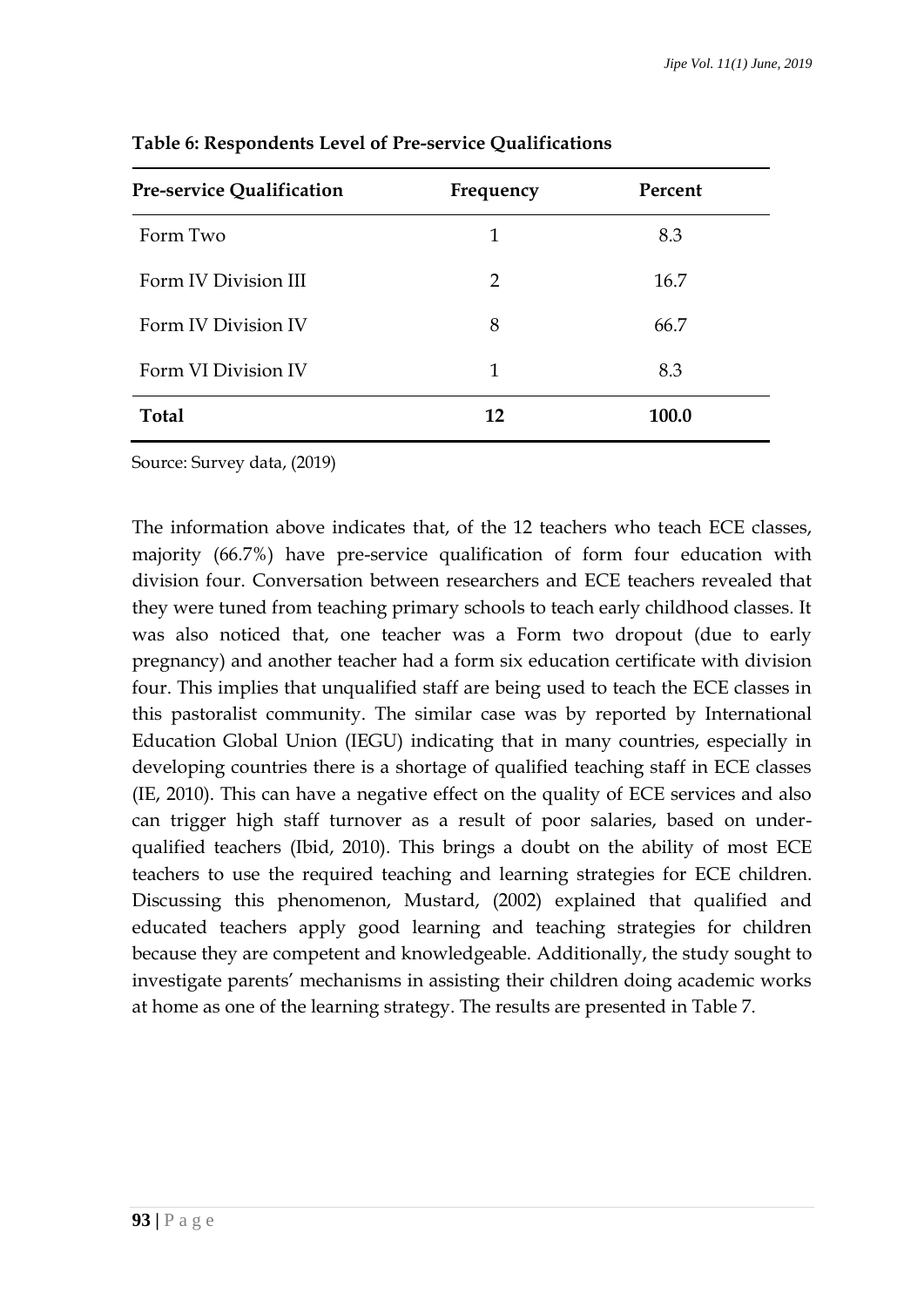| <b>Pre-service Qualification</b> | Frequency | Percent |
|----------------------------------|-----------|---------|
| Form Two                         | 1         | 8.3     |
| Form IV Division III             | 2         | 16.7    |
| Form IV Division IV              | 8         | 66.7    |
| Form VI Division IV              | 1         | 8.3     |
| Total                            | 12        | 100.0   |

**Table 6: Respondents Level of Pre-service Qualifications**

Source: Survey data, (2019)

The information above indicates that, of the 12 teachers who teach ECE classes, majority (66.7%) have pre-service qualification of form four education with division four. Conversation between researchers and ECE teachers revealed that they were tuned from teaching primary schools to teach early childhood classes. It was also noticed that, one teacher was a Form two dropout (due to early pregnancy) and another teacher had a form six education certificate with division four. This implies that unqualified staff are being used to teach the ECE classes in this pastoralist community. The similar case was by reported by International Education Global Union (IEGU) indicating that in many countries, especially in developing countries there is a shortage of qualified teaching staff in ECE classes (IE, 2010). This can have a negative effect on the quality of ECE services and also can trigger high staff turnover as a result of poor salaries, based on underqualified teachers (Ibid, 2010). This brings a doubt on the ability of most ECE teachers to use the required teaching and learning strategies for ECE children. Discussing this phenomenon, Mustard, (2002) explained that qualified and educated teachers apply good learning and teaching strategies for children because they are competent and knowledgeable. Additionally, the study sought to investigate parents' mechanisms in assisting their children doing academic works at home as one of the learning strategy. The results are presented in Table 7.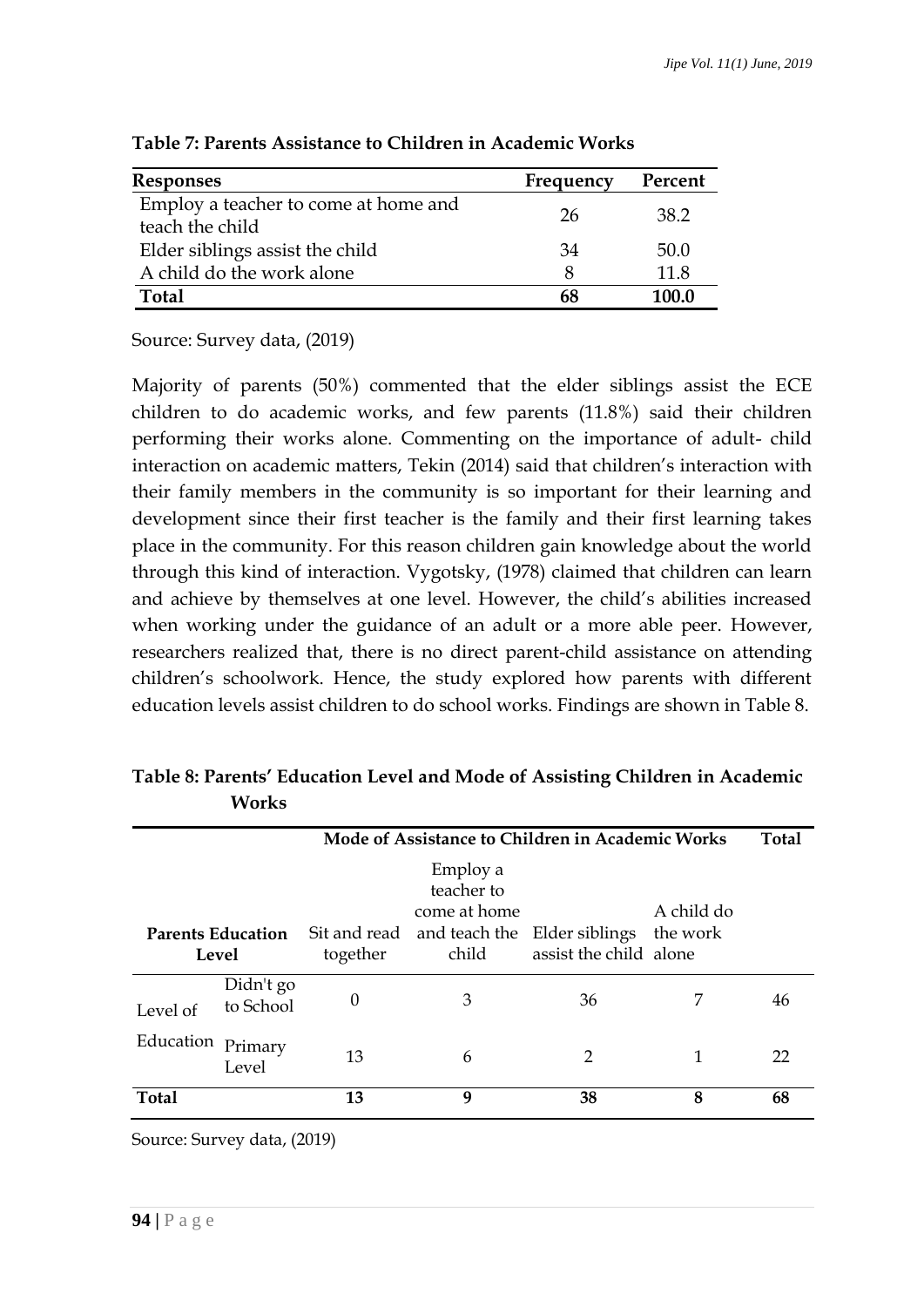| <b>Responses</b>                                        | Frequency | Percent |
|---------------------------------------------------------|-----------|---------|
| Employ a teacher to come at home and<br>teach the child | 26        | 38.2    |
| Elder siblings assist the child                         | 34        | 50.0    |
| A child do the work alone                               |           | 11.8    |
| Total                                                   |           | 100 O   |

**Table 7: Parents Assistance to Children in Academic Works**

Source: Survey data, (2019)

Majority of parents (50%) commented that the elder siblings assist the ECE children to do academic works, and few parents (11.8%) said their children performing their works alone. Commenting on the importance of adult- child interaction on academic matters, Tekin (2014) said that children's interaction with their family members in the community is so important for their learning and development since their first teacher is the family and their first learning takes place in the community. For this reason children gain knowledge about the world through this kind of interaction. Vygotsky, (1978) claimed that children can learn and achieve by themselves at one level. However, the child's abilities increased when working under the guidance of an adult or a more able peer. However, researchers realized that, there is no direct parent-child assistance on attending children's schoolwork. Hence, the study explored how parents with different education levels assist children to do school works. Findings are shown in Table 8.

| Mode of Assistance to Children in Academic Works |                        |                          |                                                 | <b>Total</b>                                           |                        |    |
|--------------------------------------------------|------------------------|--------------------------|-------------------------------------------------|--------------------------------------------------------|------------------------|----|
| <b>Parents Education</b><br>Level                |                        | Sit and read<br>together | Employ a<br>teacher to<br>come at home<br>child | and teach the Elder siblings<br>assist the child alone | A child do<br>the work |    |
| Level of<br>Education                            | Didn't go<br>to School | $\boldsymbol{0}$         | 3                                               | 36                                                     | 7                      | 46 |
|                                                  | Primary<br>Level       | 13                       | 6                                               | 2                                                      |                        | 22 |
| Total                                            |                        | 13                       | 9                                               | 38                                                     | 8                      | 68 |

**Table 8: Parents' Education Level and Mode of Assisting Children in Academic Works**

Source: Survey data, (2019)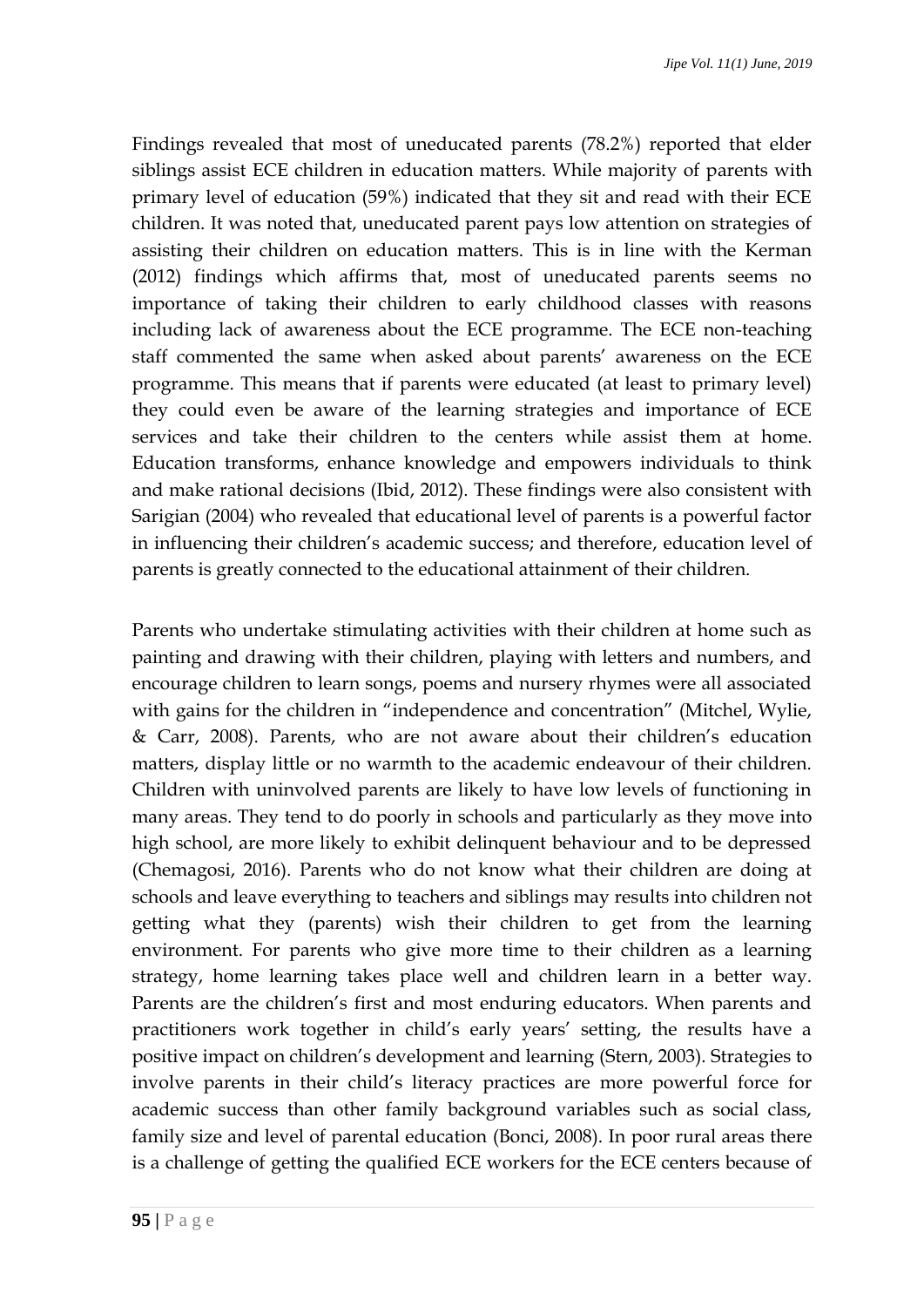Findings revealed that most of uneducated parents (78.2%) reported that elder siblings assist ECE children in education matters. While majority of parents with primary level of education (59%) indicated that they sit and read with their ECE children. It was noted that, uneducated parent pays low attention on strategies of assisting their children on education matters. This is in line with the Kerman (2012) findings which affirms that, most of uneducated parents seems no importance of taking their children to early childhood classes with reasons including lack of awareness about the ECE programme. The ECE non-teaching staff commented the same when asked about parents' awareness on the ECE programme. This means that if parents were educated (at least to primary level) they could even be aware of the learning strategies and importance of ECE services and take their children to the centers while assist them at home. Education transforms, enhance knowledge and empowers individuals to think and make rational decisions (Ibid, 2012). These findings were also consistent with Sarigian (2004) who revealed that educational level of parents is a powerful factor in influencing their children's academic success; and therefore, education level of parents is greatly connected to the educational attainment of their children.

Parents who undertake stimulating activities with their children at home such as painting and drawing with their children, playing with letters and numbers, and encourage children to learn songs, poems and nursery rhymes were all associated with gains for the children in "independence and concentration" (Mitchel, Wylie, & Carr, 2008). Parents, who are not aware about their children's education matters, display little or no warmth to the academic endeavour of their children. Children with uninvolved parents are likely to have low levels of functioning in many areas. They tend to do poorly in schools and particularly as they move into high school, are more likely to exhibit delinquent behaviour and to be depressed (Chemagosi, 2016). Parents who do not know what their children are doing at schools and leave everything to teachers and siblings may results into children not getting what they (parents) wish their children to get from the learning environment. For parents who give more time to their children as a learning strategy, home learning takes place well and children learn in a better way. Parents are the children's first and most enduring educators. When parents and practitioners work together in child's early years' setting, the results have a positive impact on children's development and learning (Stern, 2003). Strategies to involve parents in their child's literacy practices are more powerful force for academic success than other family background variables such as social class, family size and level of parental education (Bonci, 2008). In poor rural areas there is a challenge of getting the qualified ECE workers for the ECE centers because of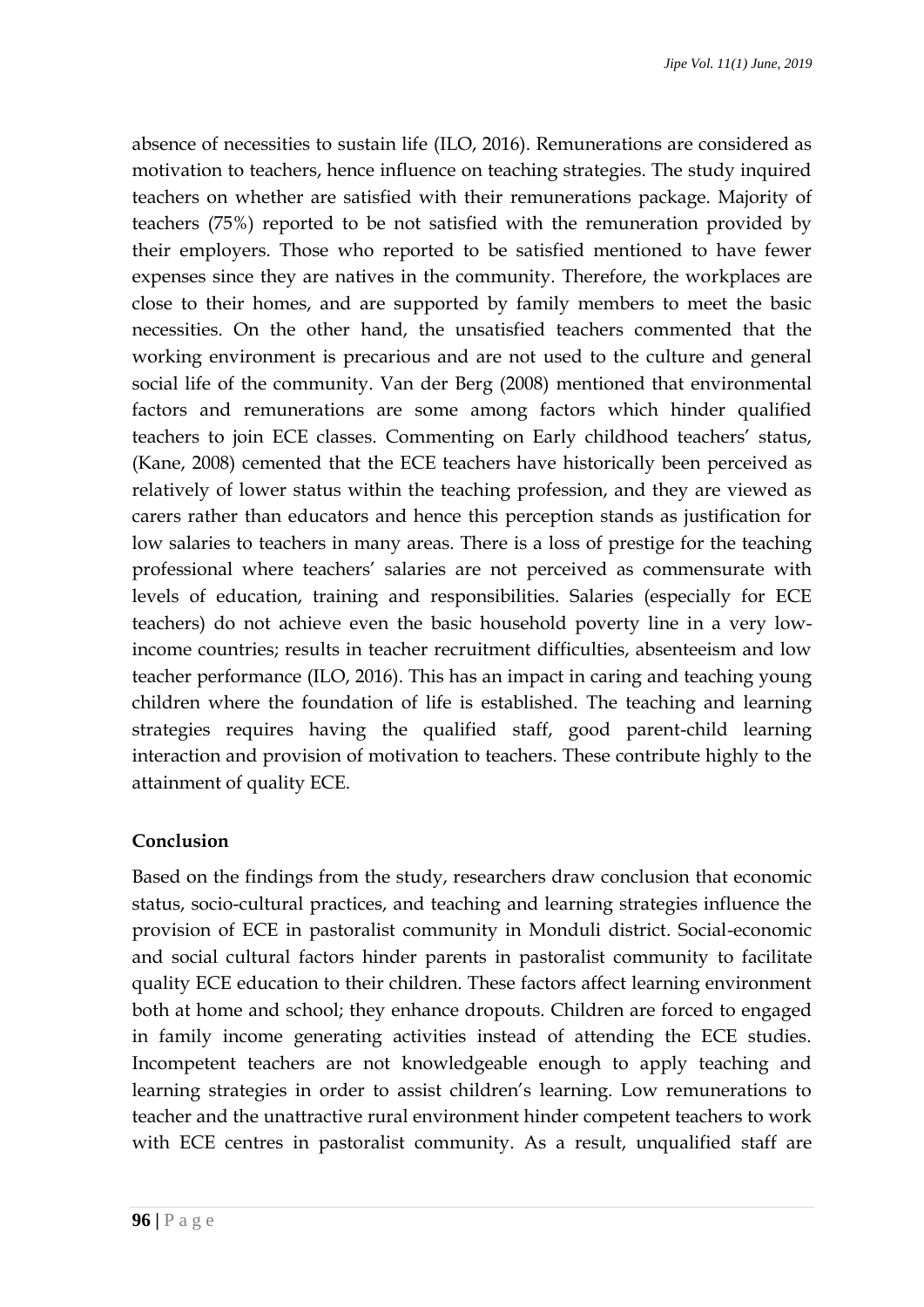absence of necessities to sustain life (ILO, 2016). Remunerations are considered as motivation to teachers, hence influence on teaching strategies. The study inquired teachers on whether are satisfied with their remunerations package. Majority of teachers (75%) reported to be not satisfied with the remuneration provided by their employers. Those who reported to be satisfied mentioned to have fewer expenses since they are natives in the community. Therefore, the workplaces are close to their homes, and are supported by family members to meet the basic necessities. On the other hand, the unsatisfied teachers commented that the working environment is precarious and are not used to the culture and general social life of the community. Van der Berg (2008) mentioned that environmental factors and remunerations are some among factors which hinder qualified teachers to join ECE classes. Commenting on Early childhood teachers' status, (Kane, 2008) cemented that the ECE teachers have historically been perceived as relatively of lower status within the teaching profession, and they are viewed as carers rather than educators and hence this perception stands as justification for low salaries to teachers in many areas. There is a loss of prestige for the teaching professional where teachers' salaries are not perceived as commensurate with levels of education, training and responsibilities. Salaries (especially for ECE teachers) do not achieve even the basic household poverty line in a very lowincome countries; results in teacher recruitment difficulties, absenteeism and low teacher performance (ILO, 2016). This has an impact in caring and teaching young children where the foundation of life is established. The teaching and learning strategies requires having the qualified staff, good parent-child learning interaction and provision of motivation to teachers. These contribute highly to the attainment of quality ECE.

## **Conclusion**

Based on the findings from the study, researchers draw conclusion that economic status, socio-cultural practices, and teaching and learning strategies influence the provision of ECE in pastoralist community in Monduli district. Social-economic and social cultural factors hinder parents in pastoralist community to facilitate quality ECE education to their children. These factors affect learning environment both at home and school; they enhance dropouts. Children are forced to engaged in family income generating activities instead of attending the ECE studies. Incompetent teachers are not knowledgeable enough to apply teaching and learning strategies in order to assist children's learning. Low remunerations to teacher and the unattractive rural environment hinder competent teachers to work with ECE centres in pastoralist community. As a result, unqualified staff are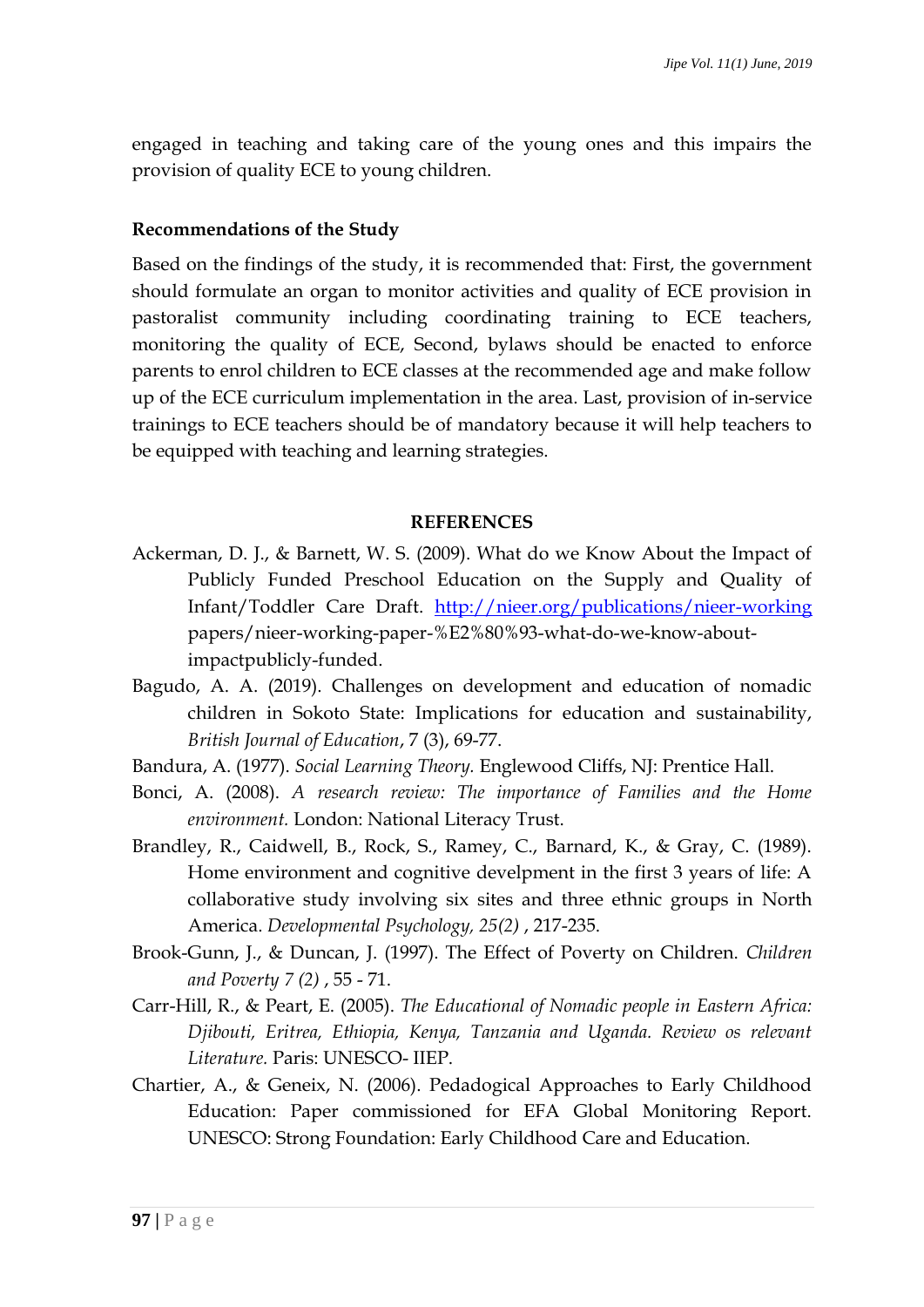engaged in teaching and taking care of the young ones and this impairs the provision of quality ECE to young children.

#### **Recommendations of the Study**

Based on the findings of the study, it is recommended that: First, the government should formulate an organ to monitor activities and quality of ECE provision in pastoralist community including coordinating training to ECE teachers, monitoring the quality of ECE, Second, bylaws should be enacted to enforce parents to enrol children to ECE classes at the recommended age and make follow up of the ECE curriculum implementation in the area. Last, provision of in-service trainings to ECE teachers should be of mandatory because it will help teachers to be equipped with teaching and learning strategies.

#### **REFERENCES**

- Ackerman, D. J., & Barnett, W. S. (2009). What do we Know About the Impact of Publicly Funded Preschool Education on the Supply and Quality of Infant/Toddler Care Draft. <http://nieer.org/publications/nieer-working> papers/nieer-working-paper-%E2%80%93-what-do-we-know-aboutimpactpublicly-funded.
- Bagudo, A. A. (2019). Challenges on development and education of nomadic children in Sokoto State: Implications for education and sustainability, *British Journal of Education*, 7 (3), 69-77.
- Bandura, A. (1977). *Social Learning Theory.* Englewood Cliffs, NJ: Prentice Hall.
- Bonci, A. (2008). *A research review: The importance of Families and the Home environment.* London: National Literacy Trust.
- Brandley, R., Caidwell, B., Rock, S., Ramey, C., Barnard, K., & Gray, C. (1989). Home environment and cognitive develpment in the first 3 years of life: A collaborative study involving six sites and three ethnic groups in North America. *Developmental Psychology, 25(2)* , 217-235.
- Brook-Gunn, J., & Duncan, J. (1997). The Effect of Poverty on Children. *Children and Poverty 7 (2)* , 55 - 71.
- Carr-Hill, R., & Peart, E. (2005). *The Educational of Nomadic people in Eastern Africa: Djibouti, Eritrea, Ethiopia, Kenya, Tanzania and Uganda. Review os relevant Literature.* Paris: UNESCO- IIEP.
- Chartier, A., & Geneix, N. (2006). Pedadogical Approaches to Early Childhood Education: Paper commissioned for EFA Global Monitoring Report. UNESCO: Strong Foundation: Early Childhood Care and Education.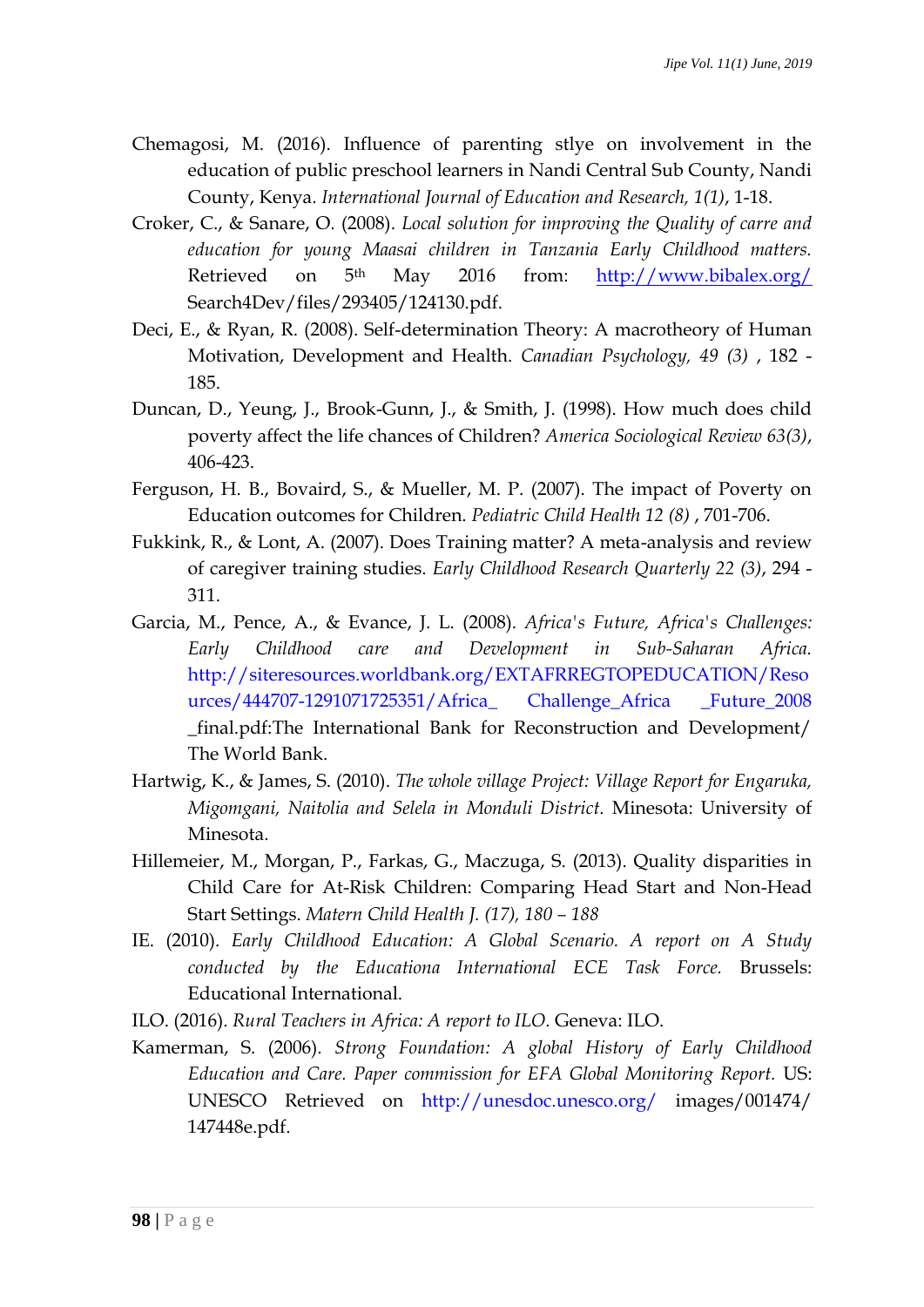- Chemagosi, M. (2016). Influence of parenting stlye on involvement in the education of public preschool learners in Nandi Central Sub County, Nandi County, Kenya. *International Journal of Education and Research, 1(1)*, 1-18.
- Croker, C., & Sanare, O. (2008). *Local solution for improving the Quality of carre and education for young Maasai children in Tanzania Early Childhood matters.* Retrieved on 5th May 2016 from: <http://www.bibalex.org/> Search4Dev/files/293405/124130.pdf.
- Deci, E., & Ryan, R. (2008). Self-determination Theory: A macrotheory of Human Motivation, Development and Health. *Canadian Psychology, 49 (3)* , 182 - 185.
- Duncan, D., Yeung, J., Brook-Gunn, J., & Smith, J. (1998). How much does child poverty affect the life chances of Children? *America Sociological Review 63(3)*, 406-423.
- Ferguson, H. B., Bovaird, S., & Mueller, M. P. (2007). The impact of Poverty on Education outcomes for Children. *Pediatric Child Health 12 (8)* , 701-706.
- Fukkink, R., & Lont, A. (2007). Does Training matter? A meta-analysis and review of caregiver training studies. *Early Childhood Research Quarterly 22 (3)*, 294 - 311.
- Garcia, M., Pence, A., & Evance, J. L. (2008). *Africa's Future, Africa's Challenges: Early Childhood care and Development in Sub-Saharan Africa.* [http://siteresources.worldbank.org/EXTAFRREGTOPEDUCATION/Reso](http://siteresources.worldbank.org/EXTAFRREGTOPEDUCATION/Resources/444707-1291071725351/Africa_%20Challenge_Africa%20_Future_2008) [urces/444707-1291071725351/Africa\\_ Challenge\\_Africa \\_Future\\_2008](http://siteresources.worldbank.org/EXTAFRREGTOPEDUCATION/Resources/444707-1291071725351/Africa_%20Challenge_Africa%20_Future_2008) \_final.pdf:The International Bank for Reconstruction and Development/ The World Bank.
- Hartwig, K., & James, S. (2010). *The whole village Project: Village Report for Engaruka, Migomgani, Naitolia and Selela in Monduli District.* Minesota: University of Minesota.
- Hillemeier, M., Morgan, P., Farkas, G., Maczuga, S. (2013). Quality disparities in Child Care for At-Risk Children: Comparing Head Start and Non-Head Start Settings. *Matern Child Health J. (17), 180 – 188*
- IE. (2010). *Early Childhood Education: A Global Scenario. A report on A Study conducted by the Educationa International ECE Task Force.* Brussels: Educational International.
- ILO. (2016). *Rural Teachers in Africa: A report to ILO.* Geneva: ILO.
- Kamerman, S. (2006). *Strong Foundation: A global History of Early Childhood Education and Care. Paper commission for EFA Global Monitoring Report.* US: UNESCO Retrieved on <http://unesdoc.unesco.org/> images/001474/ 147448e.pdf.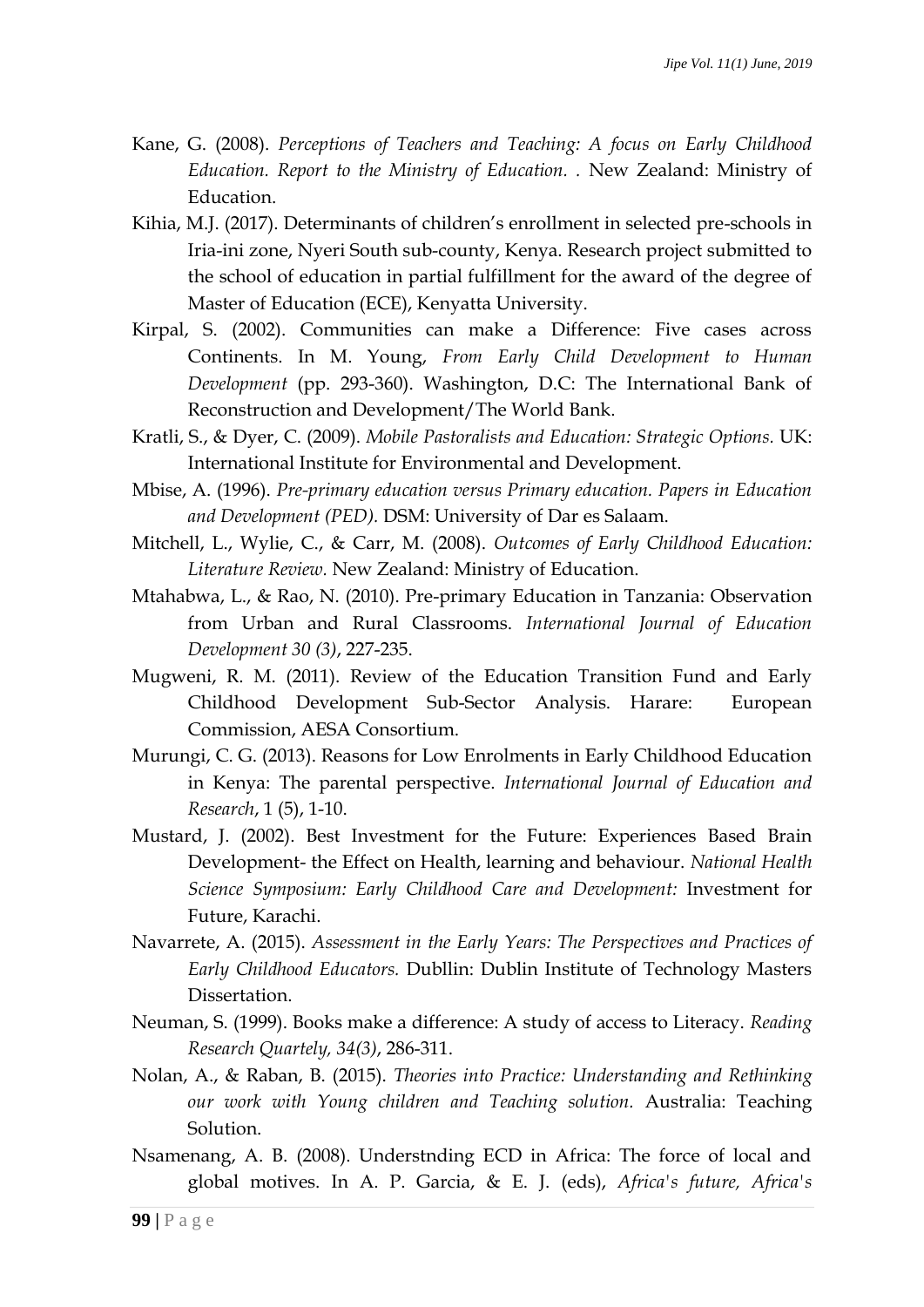- Kane, G. (2008). *Perceptions of Teachers and Teaching: A focus on Early Childhood Education. Report to the Ministry of Education. .* New Zealand: Ministry of Education.
- Kihia, M.J. (2017). Determinants of children's enrollment in selected pre-schools in Iria-ini zone, Nyeri South sub-county, Kenya. Research project submitted to the school of education in partial fulfillment for the award of the degree of Master of Education (ECE), Kenyatta University.
- Kirpal, S. (2002). Communities can make a Difference: Five cases across Continents. In M. Young, *From Early Child Development to Human Development* (pp. 293-360). Washington, D.C: The International Bank of Reconstruction and Development/The World Bank.
- Kratli, S., & Dyer, C. (2009). *Mobile Pastoralists and Education: Strategic Options.* UK: International Institute for Environmental and Development.
- Mbise, A. (1996). *Pre-primary education versus Primary education. Papers in Education and Development (PED).* DSM: University of Dar es Salaam.
- Mitchell, L., Wylie, C., & Carr, M. (2008). *Outcomes of Early Childhood Education: Literature Review.* New Zealand: Ministry of Education.
- Mtahabwa, L., & Rao, N. (2010). Pre-primary Education in Tanzania: Observation from Urban and Rural Classrooms. *International Journal of Education Development 30 (3)*, 227-235.
- Mugweni, R. M. (2011). Review of the Education Transition Fund and Early Childhood Development Sub-Sector Analysis. Harare: European Commission, AESA Consortium.
- Murungi, C. G. (2013). Reasons for Low Enrolments in Early Childhood Education in Kenya: The parental perspective. *International Journal of Education and Research*, 1 (5), 1-10.
- Mustard, J. (2002). Best Investment for the Future: Experiences Based Brain Development- the Effect on Health, learning and behaviour. *National Health Science Symposium: Early Childhood Care and Development:* Investment for Future, Karachi.
- Navarrete, A. (2015). *Assessment in the Early Years: The Perspectives and Practices of Early Childhood Educators.* Dubllin: Dublin Institute of Technology Masters Dissertation.
- Neuman, S. (1999). Books make a difference: A study of access to Literacy. *Reading Research Quartely, 34(3)*, 286-311.
- Nolan, A., & Raban, B. (2015). *Theories into Practice: Understanding and Rethinking our work with Young children and Teaching solution.* Australia: Teaching Solution.
- Nsamenang, A. B. (2008). Understnding ECD in Africa: The force of local and global motives. In A. P. Garcia, & E. J. (eds), *Africa's future, Africa's*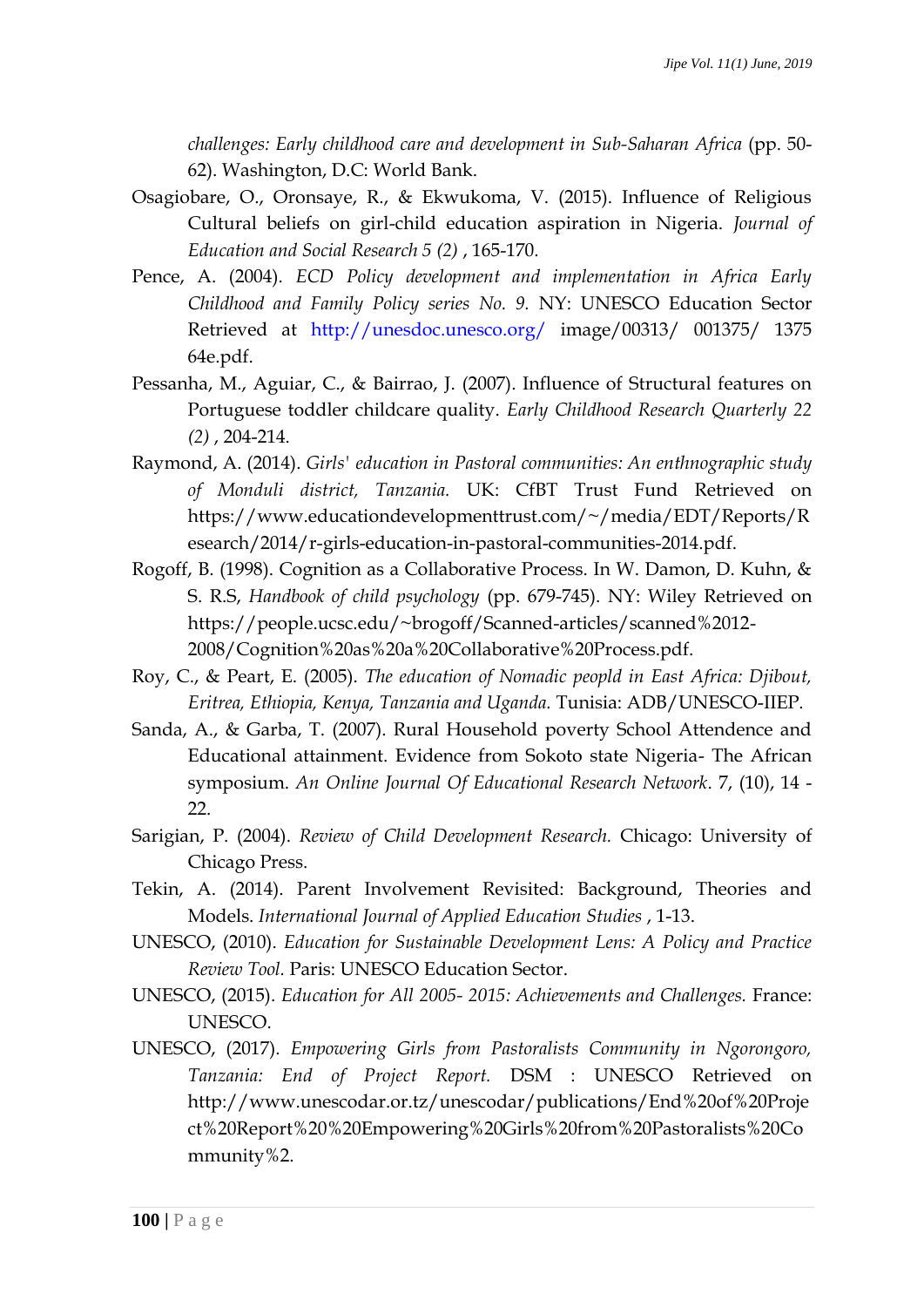*challenges: Early childhood care and development in Sub-Saharan Africa* (pp. 50- 62). Washington, D.C: World Bank.

- Osagiobare, O., Oronsaye, R., & Ekwukoma, V. (2015). Influence of Religious Cultural beliefs on girl-child education aspiration in Nigeria. *Journal of Education and Social Research 5 (2)* , 165-170.
- Pence, A. (2004). *ECD Policy development and implementation in Africa Early Childhood and Family Policy series No. 9.* NY: UNESCO Education Sector Retrieved at <http://unesdoc.unesco.org/> image/00313/ 001375/ 1375 64e.pdf.
- Pessanha, M., Aguiar, C., & Bairrao, J. (2007). Influence of Structural features on Portuguese toddler childcare quality. *Early Childhood Research Quarterly 22 (2)* , 204-214.
- Raymond, A. (2014). *Girls' education in Pastoral communities: An enthnographic study of Monduli district, Tanzania.* UK: CfBT Trust Fund Retrieved on https://www.educationdevelopmenttrust.com/~/media/EDT/Reports/R esearch/2014/r-girls-education-in-pastoral-communities-2014.pdf.
- Rogoff, B. (1998). Cognition as a Collaborative Process. In W. Damon, D. Kuhn, & S. R.S, *Handbook of child psychology* (pp. 679-745). NY: Wiley Retrieved on https://people.ucsc.edu/~brogoff/Scanned-articles/scanned%2012- 2008/Cognition%20as%20a%20Collaborative%20Process.pdf.
- Roy, C., & Peart, E. (2005). *The education of Nomadic peopld in East Africa: Djibout, Eritrea, Ethiopia, Kenya, Tanzania and Uganda.* Tunisia: ADB/UNESCO-IIEP.
- Sanda, A., & Garba, T. (2007). Rural Household poverty School Attendence and Educational attainment. Evidence from Sokoto state Nigeria- The African symposium. *An Online Journal Of Educational Research Network*. 7, (10), 14 - 22.
- Sarigian, P. (2004). *Review of Child Development Research.* Chicago: University of Chicago Press.
- Tekin, A. (2014). Parent Involvement Revisited: Background, Theories and Models. *International Journal of Applied Education Studies* , 1-13.
- UNESCO, (2010). *Education for Sustainable Development Lens: A Policy and Practice Review Tool.* Paris: UNESCO Education Sector.
- UNESCO, (2015). *Education for All 2005- 2015: Achievements and Challenges.* France: UNESCO.
- UNESCO, (2017). *Empowering Girls from Pastoralists Community in Ngorongoro, Tanzania: End of Project Report.* DSM : UNESCO Retrieved on http://www.unescodar.or.tz/unescodar/publications/End%20of%20Proje ct%20Report%20%20Empowering%20Girls%20from%20Pastoralists%20Co mmunity%2.